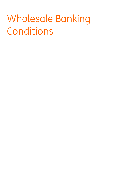# Wholesale Banking Conditions

- 
- -
- -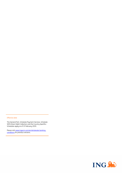# Effective date

The General Part, Schedule Payment Services, Schedule SEPA Direct Debit Collection and the Country Specifics Schedules apply as of 15 February 2019.

Please visit www.ingpcm.com/en/wholesale-bankingconditions for previous versions.

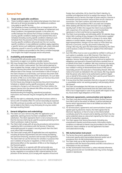# **General Part**

# **1. Scope and applicable conditions**

- 1.1. These Conditions apply to the relationship between the Client and ING and to all Services provided by ING. Additional conditions may apply to specific Services.
- 1.2. The Schedules to these Conditions form an integral part of the Conditions. In the event of a conflict between an Agreement and these Conditions, the Agreement prevails. In the event of a conflict between the General Part of these Conditions (including country specific conditions relating to this General Part) and a Schedule (including country specific conditions relating to such Schedule) then the provisions of the Schedule shall prevail. Country specific conditions will prevail over the non-country specific conditions. In case additional conditions apply regarding a specific Service such additional conditions will, unless indicated otherwise, prevail in case of a conflict with these Conditions.
- 1.3. If these Conditions are provided to the Client in another language than English the English language version will prevail**.**

### **2. Availability and amendments**

- 2.1. If requested ING will provide copies of the relevant Service Documents on paper or on another durable medium.
- 2.2. ING may change these Conditions and other Service Documents with a two months' notice period. The Client will be deemed to have accepted the change, unless it has terminated in writing the relevant Services Document with effect prior to the proposed effective date of the change. Such termination is free of charge. If the Client chooses to so terminate, such Services Document shall terminate on the effective date of the amendments. On such date all claims of ING vis-à-vis the Client under such Services Document become immediately due and payable.

For this Clause any change to any Services Document (including a Schedule or related country specific provisions), will only be considered a change to such document if the Client obtains the relevant Service from the relevant ING Office and only such Client will be informed accordingly.

Notwithstanding the foregoing, operational procedures, instructions and manuals may be changed by ING with immediate effect.

2.3. ING has the right to unilaterally change (the functions within) a Service with immediate effect if it cannot reasonably be expected that ING continues to provide such Service in this manner. ING will not be liable to the Client or any third party for any loss and/or damage resulting thereof.

#### **3. General obligations and undertakings**

- 3.1. The Client can use a Service only after the application and, if applicable, opening process has been completed to ING's satisfaction. The Client represents that it is not a Consumer and that the Services shall only be used for purposes pertaining to the Client's profession, trade or business.
- 3.2. The Client shall comply with all security procedures and provisions supplied by ING in accordance with the Services. If there are reasonable grounds to suspect a security breach then the Client must inform ING immediately.
- 3.3. The Client shall comply with all applicable laws and regulations, including all license requirements and anti-money-laundering, anti-terrorism financing, sanctions and tax laws and regulations. The Client shall not use the Services for activities or purposes that are in violation of any law or regulation, or that can have a detrimental effect on the reputation of ING or on the integrity of the financial system.
- 3.4. The Client agrees to co-operate with ING and provide any information and documents and do all such acts ING requires (i) by law, regulation or according to ING's internal policies for the provision of the Services, (ii) to comply with requests of local and

foreign (tax) authorities, (iii) to check the Client's identity, its activities and objectives and (iv) to explain the reasons for the (intended) use of a Service, the origin of funds used for a Service or transaction and the economic nature of (the use of) a Service or transaction. The Client confirms and shall ensure that all information (to be) provided to ING is accurate and complete.

- 3.5. When dealing with ING the Client and each User is obliged to identify itself. At ING's first request the Client must provide ING with a specimen of its and each User current handwritten signatures in a form and format as required by ING.
- 3.6. The Client must promptly, and ultimately within 30 calendar days, inform ING in writing of any changes in the information supplied to ING, including but not limited to a change in its name, legal address or contact details, change in the authority of a User or legal representative, change in its tax status or if the Client has become a Consumer, and any documents evidencing such change. ING may rely upon the information provided by the Client until it receives a notice of change or update of the information provided.
- 3.7. Each ING Office must as soon as possible be notified in writing or, if such option is available, via an ING Channel, if the Client is no longer in existence or no longer authorised to dispose of or operate a Service, failing which ING may (continue to) perform its obligations and execute or forward Instructions received from or on behalf of the Client. In addition, ING may (continue to) execute, or forward an Instruction it received prior to or shortly after ING was notified in writing of aforementioned events if ING cannot reasonably prevent the execution or forwarding thereof. After the notice of an event as indicated in this sub-Clause, ING may require that the person who claims to be authorised to perform (legal) acts on behalf of (the estate of) the Client submits proof thereof in form and substance acceptable to ING.
- 3.8. If at any time the Client ascertains that all or any part of a Service is unavailable and/or not working properly it will promptly inform ING thereof.
- 3.9. The Client acknowledges that ING does not provide any tax or legal advice, and ING recommends that the Client takes advice from a tax or legal expert in case of any doubt with respect to the tax, fiscal and/or legal obligations of the Client.

#### **4. Electronic agreements, communication and signature**

- 4.1. The Client may electronically agree to obtain (further) Services from ING if and to the extent so offered. It will be indicated per Service which requirements have to be fulfilled and when the agreement is effective.
- 4.2. For all Instructions, agreements and communications issued or agreed upon by electronic means, the Client agrees that its Electronic Signature, or that of a User on the Clients behalf, constitutes proof of its consent and its identity and that it has the same evidential value as a document signed by the Client or User with its handwritten signature.
- 4.3. The Client agrees that Service Documents (including any amendments thereto) and all documents, information and/or conditions as referred to therein may be provided to the Client by electronic means whether or not the Agreement has been concluded electronically.

#### **5. ING Authorisation Instrument**

- 5.1. The Service Documents applicable to an ING Authorisation Instrument specify which personalised device(s) and/or set of procedures form an ING Authorisation Instrument.
- 5.2. The Client shall use an ING Authorisation Instrument in accordance with the Service Documents and ING's instructions or information on the use thereof.
- 5.3. An ING Authorisation Instrument is, unless indicated otherwise, strictly personal and non-transferable and may not be changed, copied or reproduced.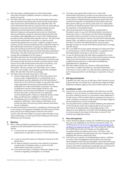- 5.4. ING may assign a validity period to an ING Authorisation Instrument and ING is entitled to shorten or extend such validity period at any time.
- 5.5. The Client shall upon receipt of an ING Authorisation Instrument take all measures required by ING to keep the ING Authorisation Instrument and its personalised security credentials safe. The Client shall furthermore take any measure that can reasonably be expected to ensure the security of the personalised security credentials and shall keep these credentials, including its Electronic Signature and password, secret and not share them with any third party, except for authorised third party PSPs that are allowed under applicable law to rely on ING's authentication procedures when providing their payment services. The Client shall store the ING Authorisation Instrument in a place to which unauthorised parties have no access. Subject to evidence to the contrary, the fact that personalised security credentials and/or an ING Authorisation Instrument is used by an unauthorised third party will constitute proof that the Client has failed to keep or store such items safe and secure and that they were accessible to third parties. The Client shall ensure that Users shall observe and comply with all obligations of this Clause 5.
- 5.6. The Client shall take note of the information provided by ING in relation to the secure use of an ING Authorisation Instrument and the measures that the Client must take to prevent fraud or other misuse of such ING Authorisation Instrument and shall act, and shall ensure that Users shall act, in accordance with such information. ING may change such information and in urgent situations such changes can be applied by ING with immediate effect. ING will inform the Client accordingly.
- 5.7. The Client shall, and shall ensure that a User shall:
	- (i) without undue delay notify ING, on becoming aware of (a) any loss, theft, misappropriation or unauthorised use of (personalised security credentials of) an ING Authorisation Instrument or (b) a technical incident or any other fault which might jeopardise the security of (personalised security credentials of) an ING Authorisation Instrument. The means of notification and the contact details of ING for such notification can be found on the Website, in the applicable Services Document, an ING Channel or as otherwise communicated by ING. A failure to notify ING without undue delay constitutes gross negligence of the Client, and
	- (ii) immediately send a confirmation in writing to ING of any telephonic notification, which written confirmation must contain the date, time and any further relevant information of such notification.
- 5.8. If an ING Authorisation Instrument is provided by a third party, ING is not a party to the agreement between the Client and such third party and all costs relating thereto shall be for the Client's account. ING will not be liable for any loss and/or damage, of any nature whatsoever, incurred by the Client relating to the services offered by such third party.

# **6. Blocking**

- 6.1. ING is, unless prohibited by applicable law, authorised to block or suspend an ING Authorisation Instrument or (access to) any Service:
	- (i) in case of the non-compliance with the instructions and requirements as referred to in Clause 17 of this General Part,
	- (ii) in case of any of the events as indicated in Clause 26 of this General Part,
	- (iii) for reasons relating to security or the suspicion of improper, unauthorised or fraudulent access or use of such ING Authorisation Instrument or Service, or
	- (iv) in the event the Client is indicted or otherwise subject to any criminal or regulatory investigation or convicted;
- 6.2. The Client may request ING to block its or a User's ING Authorisation Instrument or (access to) any Service and a User may request to block its ING Authorisation Instrument or (access to) any Service. Notwithstanding any blocking request ING may continue the execution or forwarding of Instructions that have been given to ING by such Client or User prior to or shortly after receiving such blocking request if ING cannot reasonably prevent the execution or forwarding thereof.
- 6.3. Upon becoming aware of any improper, unauthorised or fraudulent access or use of an ING Authorisation Instrument or Service by a User or a third party, the Client shall immediately terminate or block such person's access to and use of the ING Authorisation Instrument or Service and shall inform ING promptly thereof. ING is not liable for any loss and/or damage incurred by the Client. The Client will indemnify ING for any loss and/or damage incurred, as a result of the failure by the Client to comply with this Clause.
- 6.4. ING is not liable for any loss and/or damage incurred by the Client or a third party as a result of the blockage or a suspension of an ING Authorisation Instrument or (access to) a Service.
- 6.5. In case of a block by ING, ING shall, where possible prior to such blocking, inform the Client of such a block and the reasons thereof, unless such communication would compromise objectively justified security reasons or is restricted or prohibited by applicable laws or regulations.
- 6.6. ING shall unblock (access to) a Service or ING Authorisation Instrument, or replace the latter by a new ING Authorisation Instrument, as soon as ING, in its sole discretion, determines there are no longer grounds for such blockage or suspension to stay in effect.

# **7. ING App and Channel**

If agreed, the Client may use an ING App or ING Channel to access and use Services. If accessed via an App Services might be limited. Additional conditions apply to the use of an ING Channel or App.

# **8. Conditional credit**

- 8.1. Any amount or asset made available to the Client by or via ING, whether in cash, by means of a book entry into an account or by any other method, pursuant to a transaction where settlement is not yet known or final or before ING has received such amount or asset, constitutes an advance made by ING to the Client subject to the due performance of such transaction.
- 8.2. The due performance condition shall be fulfilled by the settlement of the transaction and/or the receipt by ING of such amount or asset free at its disposal within a reasonable period. In the absence of such settlement, the Client will immediately repay ING an amount equal to the (value of the) asset or amount it has received, plus applicable interest.

# **9. Fees and expenses**

- 9.1. Unless otherwise agreed in writing, the Tariff Brochure lays out the fees and costs applicable to the Services used by the Client. The Tariff Brochure can be found at www.ingpcm.com/en/tariffs-andconditions-for-payment-services. ING may change the Tariffs and the Tariff Brochure and such changes can be applied with immediate effect and without prior notice. The Client is also obliged to pay ING the third party fees and costs charged to ING regarding the Services used by the Client.
- 9.2. The Client must maintain an Available Balance which is sufficient to meet its financial obligations towards ING at the time that these obligations shall be due and payable. If the Client fails to pay an amount on the due date ING shall be entitled to charge default interest. Information regarding the applicable rate can be found in the Tariff Brochure and/or the Website of the ING Office.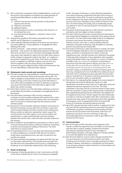- 9.3. ING is authorised, irrespective of the Available Balance, currency of the Account and irrespective of whether this would generate an unauthorised Debit Balance, to debit the following from an Account:
	- (i) Tariffs for the Services and the provision of information in regard to the Services;
	- (ii) Payment Transactions;
	- (iii) (default) interest;
	- (iv) third party fees and costs in accordance with Clause 9.1 of this General Part; and
	- (v) any other financial obligation, in whatever name or form, towards ING.
- 9.4. All payments payable to ING shall be calculated and made without set-off, deduction or counterclaim.
- 9.5. Unless explicitly indicated otherwise all amounts are exclusive of any value added tax. If value added tax is chargeable the Client shall pau this to ING.
- 9.6. All taxes and levies under whatever name and levied by whomever – that concern the relationship between the Client and ING are for the Client's account. The Client acknowledges that ING may need to (be required to) collect from the Client taxes, levies or similar charges on payments made to the Client or in respect of transactions entered into by the Client. If the Client is compelled by law or regulation to withhold or deduct any sum from any amount payable to ING, the Client will pay such additional amounts as may be needed for ING to receive the full amount had no such withholding or deduction been required.

# **10. Statements, bank records and recordings**

- 10.1.The Client accepts full responsibility for monitoring all information, records and transaction history and overviews sent by ING. The Client is obliged to verify whether the Services have been executed by ING correctly. If the Client contests any of the information it must inform ING immediately. The Client is deemed to accept the accuracy of the information if the Client fails to object to ING within two months of receipt.
- 10.2.If the Client contests any of the information relating to a Service it should follow the procedure as indicated in the applicable Service Documents.
- 10.3.The information contained in ING's records is deemed to constitute conclusive evidence between ING and the Client, unless the Client provides evidence to the contrary. ING is not required to retain its records for a period longer than the statutory record retention period.
- 10.4.Every form of communication relating to products and services of ING and third parties and any other form of written or electronic communication between the Client and ING can be evidenced by ING by a written or electronic reproduction and/or copy of this communication from ING's sustems. Such communication and reproductions or copies thereof provide conclusive evidence between ING and the Client, unless the Client provides evidence to the contrary.
- 10.5.ING is entitled to record telephone conversations in order to assist in the processing of Instructions, retaining of evidence, monitoring of services and verifying the validity of Instructions. The Client shall inform its Users(s) hereof.
- 10.6.If computational errors occur in the data and information provided or made available by or on behalf of ING, ING has the right to rectify these computational errors, also after the period of two months has expired.
- 10.7.The Client expressly acknowledges and agrees that ING may rely on information obtained from a third party service provider and that ING will not be responsible for the accuracy, completeness or timeliness of such information obtained from such third party.

# **11. Power of attorney**

11.1.Any power of attorney granted to a User to do business with ING on the Client's behalf must be in form and substance acceptable

to ING. The power of attorney is, unless otherwise stipulated in such power of attorney, governed by the laws of the country of incorporation of the Client. The User so authorised may perform all acts indicated in the power of attorney in the name and for the account of the Client regardless of any conflict of interest of the User. The Client hereby irrevocably and unconditionally waives any defence or claim it may have based on the existence of any such conflict.

- 11.2.Any power of attorney granted via an ING Channel is granted in accordance with and subject to these Conditions.
- 11.3.The Client shall ensure that Users are bound by and shall observe and comply with all obligations as indicated in the relevant Service Documents. The Client shall remain liable to ING for all obligations pursuant to the Service Documents, including all acts and inactions of Users. Each User is, unless explicitly otherwise indicated in the power of attorney, fully competent to severally perform the authorised acts thereunder.
- 11.4.Each power of attorney is valid until expired or revoked. The Client must immediately notify ING in a form acceptable to ING of the expiry, revocation or amendment of a power of attorney regarding any User. Until ING receives such notification any power of attorney shall, irrespective of any registration with any public record of the details and/or any changes to it, remain in full force and effect. ING may continue the execution or forwarding of Instructions that have been given to ING by such User prior to or shortly after ING has received such notification if ING cannot reasonably prevent the execution or forwarding thereof. The revocation, expiry or amendment of a power of attorney does not have any consequences for nor shall affect (the validity of) any (i) Instruction with a scheduled execution date after the revocation, expiry or amendment, or (ii) power of attorney granted by a User prior to such revocation, expiry or amendment.
- 11.5.The Client is, if so indicated by ING, obliged to for and on behalf of ING identify and verify the identity (by means of a valid identification document) of each User and, if applicable, verify and validate the specimen signature of such User. The Client undertakes to securely store for a minimum period of seven years after the revocation or expiry of the relevant power of attorney all data regarding the identity and the verification and validation of the signature of each User. At ING's request the Client will provide such data in a format accessible to ING. ING is authorised to audit, examine and make copies of the data kept by the Client regarding the foregoing, and if so requested the Client must grant ING access to its premises and relevant data and records.
- 11.6.Upon ING's request the Client shall (i) confirm or ratify all acts that any User will have performed pursuant to and within the powers conferred by any power of attorney and (ii) promptly and duly execute all such documents and instruments, enter into such agreements and do all such acts and things as ING may reasonably determine as necessary in order to give effect to the provisions of this Clause.

# **12. Communication**

- 12.1.ING has the right, at ING's discretion and irrespective of the manner in which the Agreement was concluded, to communicate with the Client in writing, verbally, via telecommunications (including the speaking computer or text messages) or electronically (including e-mail, app, Website or Channel, whether or not with the addition of an internet link).
- 12.2.ING will not be liable for any loss and/or damage resulting from the use of any form of communication by ING or the Client, including, but not limited to, loss or damage resulting from failure or delay in delivery, interception or manipulation by third parties or by computer programs used for electronic communications and transmission of Viruses**.**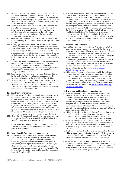- 12.3.The contact details of the Client and ING for any communication to be made or delivered under or in connection with any Service will be as stated in the Agreement, any other applicable Services Document or as otherwise updated by the Client vis-à-vis ING*.* The Client shall notify ING in advance of amended contact details by not less than five Business Days.
- 12.4.Any notice or communication sent by ING to the Client shall be deemed to have been duly given or made (a) in the case of delivery by hand, when delivered, (b) in the case of delivery by mail, three days after being deposited in the mail, postage prepaid, or (c) in the case of delivery by facsimile or other electronic transmission, when sent.
- 12.5.Documents and valuables of whatever nature, dispatched to ING by the Client or by ING to the Client, travel at the expense and risk of the Client.
- 12.6.ING may, yet is not obliged, to take out any insurance it deems necessary for dispatching or collecting valuables to or from the Client, at the expense of the Client, Dispatches can also be insured at the express request of the Client and at its expense. ING shall take out such insurance with the insurance company of its choice. ING shall not accept any liability in this regard. In the event of loss, the Client shall only be entitled to the insurance proceeds received by ING.
- 12.7.If parties to an Agreement have agreed that all communications from ING may be addressed to one party designated for said purposes by the other parties (whether in the Agreement or otherwise), any notice or communications from ING given to the party designated for said purpose will be deemed to also have been given to all other parties.
- 12.8.Unless agreed otherwise, the communication between ING and the Client will take place in the English language or, at ING's discretion, the language of the jurisdiction of the ING Office.
- 12.9.ING may require that foreign documents are legalised and bear an apostille and that communications and documents from the Client which are in a language other than agreed under Clause 12.8 of this General part are translated at the Client's expense by a sworn translator acceptable to ING.

# **13. Use of forms and formats**

- 13.1.With respect to the Services, the Client is required to make use of the (hardcopy, online or electronic) forms and formats, if any, made available or as indicated by ING, duly completed, legible and bearing the handwritten or Electronic Signature, or any other form of identification as required by ING, whatever is applicable. ING may refuse to accept any document or execute any Instruction if it is not received in the required form or format, incomplete or the signature is not verified or does not match the specimen signature in ING's records. ING is authorised to act upon and rely on information contained in a form or Instruction from the Client.
- 13.2.ING has the right to declare (instruction) forms and formats invalid and to replace these forms or formats. If so, ING will inform the Client of any new form or format to be used.

ING will not be liable for any loss and/or damage that the Client incurs due to the (instruction) forms or formats being declared invalid or used incorrectly.

#### **14. Processing of information and bank secrecy**

14.1.ING will obtain, use or otherwise process data, documents and information relating to the relationship with the Client, User and/or the Services for the provision of the Services and for internal analysis and supervision, risk management, product development, marketing activities, centralisation of storage, to safeguard ING's security and integrity, to comply with legal obligations and for any other purpose as communicated by ING. The obtaining, using and processing of Personal Data is subject to Clause 15 of this General Part.

14.2.To the extent permitted by any applicable law or regulation, the Client waives any bank secrecy, if any, and agrees with the transferring, processing and disclosure by ING of any data, documents and information obtained from or relating to the Client and any Services (i) within ING or to any third party service provider for any of the purposes as indicated in this Clause (ii) to any third party for any of the purposes as indicated in Clause 23.1 and 24.1 of the General Part (iii) to any applicable credit register, (iv) if required for the providing of Services to the Client or any of its affiliates, to affiliates of the Client and (v) as permitted or required by any applicable law or regulation, legal process, regulatory action, order, judgement or decree of a court or (vi) to enable ING to comply with requests from or obligations towards local and foreign (tax) authorities.

# **15. Personal Data protection**

- 15.1.In addition to clause 14 of this General Part, with regard to the obtaining, using and processing of Personal Data, the Client acknowledges that Personal Data may be processed, transferred and disclosed outside of the ING Office that obtained such data and represents and warrants (i) that it has received and read the Privacy Statements of the ING Offices (which is hereby incorporated by reference) and (ii) that it will inform and refer all authorised representatives, Users and (other) natural persons interacting on behalf of the Client with ING to this Clause 15 and the applicable Privacu Statements. The applicable Privacu Statements can be found on www.ingwb.com/about-ingwb/privacy-statements.
- 15.2.ING processes Personal Data in accordance with the applicable personal data protection laws and regulations and ING's "Global Data Protection Policy for Client, supplier and business partner data" (as from time to time amended or replaced by a similar global policy). The policy was approved by the data protection authorities in the applicable EU Member States. The Global Data Protection Policy can be found on www.ingwb.com/about-ingwb/privacy-statements.

# **16. Ownership and intellectual property rights**

- 16.1.The Client is granted a strictly personal, non-exclusive and nontransferable licence to, if applicable, use and install software provided by ING for the Services. However, no property or intellectual rights are transferred to the Client. This licence provides only the right to install the software on the Client's computer and to use it for a Service in accordance with the purposes as indicated in the applicable Service Documents or as otherwise indicated by ING and is limited to the period the Client is authorised to use the Service.
- 16.2.ING and the third party, if any, who has conferred the right of use on ING retains all rights, including ownership, copyrights and intellectual property rights, of all ING Goods as well as to all information, recommendation and/or (other) services provided.
- 16.3.The Client is not permitted to change, copy, distribute, transfer, display, publish, sell or licence the (content of the) ING Goods, to produce or use any works derived from it or to create any link, hypertext or deep link from or to an ING Channel, Service or Website.
- 16.4.The trade names, brands and logos (or signs similar thereto) from ING and appearing on or in the Services and/or ING Goods are the property of ING. The Client is not permitted to use any of such trade names, brands and logos without ING's prior written consent.
- 16.5.The Client will immediately destroy or return the ING Goods, its personalised security credentials and/or any instruments for using a Service and/or accessing an ING Channel (which are capable of being returned) to ING, if requested to do so or if the Client is no longer authorised to use the applicable Service.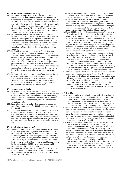# **17. System requirements and security**

- 17.1.The Client shall comply with and act upon the most recent instructions and system, software and other requirements for implementing, accessing and using a Service as stated by ING. ING will not be liable for any loss and/or damage incurred by the Client as a result of (i) changes to the software or equipment supplied by ING or a third party, (ii) improper functioning of equipment or software belonging to the Client or User (iii) failure to act upon instructions of ING or (iv) failure to comply with the conditions for implementation, access and use of a Service.
- 17.2.The Client may need to have internet access, access to an electronic communication network or software to be able to use a Service. ING is not a party to any agreement in this respect between the Client and its provider. All costs of access to and use of the services offered by these providers will be for the Client's account and ING will not be liable for any loss and/or damage incurred by the Client relating to the services offered by those providers.
- 17.3.The Client is responsible for the security of the systems and devices used to access a Service. Without prejudice to the foregoing, the Client is obliged to ensure that up-to-date anti-Virus software, anti-spyware software, firewall software or any other relevant security tools are used to ensure the security of (the access to) a Service. Should the Client discover or suspect a Virus, spyware or unauthorised access to a Service the Client shall inform ING without delay and shall immediately take all necessary measures to prevent any loss and/or damage. ING reserves the right to block access to (part of) a Service following any such report.
- 17.4.The Client shall ensure that correct log-off procedures are followed when exiting or leaving unattended a computer or other applicable device with which a Service is used or accessed. The Client shall further take all reasonable precautions to prevent unauthorised use of a Service and the operating stations or IT sustems from which a Service can be accessed.

# **18. Joint and several liability**

- 18.1.The obligations of each ING Office under the Service Documents are separate and independent obligations. Failure by an ING Office to perform its obligations does not affect the obligations of any other ING Office under the Service Documents. No ING Office is responsible for the obligations of any other ING Office under the Service Documents.
- 18.2.Unless otherwise instructed by ING, any debt arising under the Service Documents to a specific ING Office can only be repaid to that ING Office.
- 18.3.If the Client is, in whatever capacity, a joint beneficiary of a Service or a joint holder of an account or asset, it is, together with such other beneficiaries or holders, jointly and severally bound by and liable towards ING for all related obligations. The Client and each such person is, unless agreed otherwise, individually authorised to issue Instructions towards ING regarding such Service, account or asset.

# **19. Security Interest and set-off**

- 19.1.In addition to any other Security Interest granted to ING, the Client undertakes to grant a Security Interest and herewith grants a Security Interest over all present and future (i) claims the Client now or at any time, has or acquires against the ING Office and (ii) financial instruments, monies, documents and other goods held by ING, or a third party on behalf of ING, for or on behalf of the Client, as security for all existing and (contingent) future amounts the Client owes to the ING Office at any given moment which Security Interest ING herewith accepts.
- 19.2.The Client grants ING an irrevocable power of attorney, with the right of substitution, to grant, create, register and/or perfect a Security Interest over the claims as stated in Clause 19.1 to itself in the name of the Client.
- 19.3.The Client represents and warrants that it is authorised to grant and create the Security Interest and that the claims in question are or will be free of rights and claims of other parties than ING.
- 19.4.The Client undertakes vis-à-vis ING to provide (additional) collateral and Security Interests for all existing and future amounts that the Client owes to ING, on any account whatsoever, and to sign any agreement or any other documents that may be required in connection with the granting and the creation thereof, at the first request of ING and to the ING's satisfaction.
- 19.5.Each ING Office shall at all times be entitled to set-off all and any of its claims on the Client, whether or not due and payable and whether or not contingent, against any claims the Client has on such ING Office, whether due and payable or not, regardless of the currency in which such claims are denominated. If however the Client's claim on ING or ING's claim on the Client is not yet due and payable, ING shall not exercise its right of set-off except upon the occurrence of one of the following events, which shall render such claim due and payable: in the event of an attachment or garnishment being levied upon the Clients' claim on ING, in case recovery is being sought from such debt in any other way, in the event that a Security Interest or other restricted right is created thereon, the Client assigns its claims on ING to a third party, the Client is declared bankrupt, has entered into a moratorium of payments or another insolvency regulation or statutory debt repayment arrangement applies to the Client. Debts expressed in a foreign currency shall be set-off at the exchange rate on the day of set-off as determined by ING. If possible, ING shall inform the Client in advance that it intends to exercise its right of set-off.
- 19.6.At the request of ING, the Client shall promptly and duly enter into such further agreements, execute all such other documents and instruments and do all such other registrations, acts and things as ING may reasonably determine as necessary or desirable in order to give effect to the provisions of this Clause.
- 19.7.If there are in one jurisdiction more offices from the same ING legal entity a reference to ING Office shall in this Clause be construed as a reference to any and all ING offices of such legal entity in the same jurisdiction.

# **20. Liability**

- 20.1.Without prejudice to any other limitations of liability as stipulated in the Service Documents, ING will only be liable to the Client for any direct loss and/or damage, regardless of whether ING's liability is asserted on the basis of the Service Documents, the provision of Services, claim in contract, tort (including negligence), under an indemnitu, breach of statutoru dutu or otherwise.
- 20.2.For the avoidance of doubt ING will not be liable for any indirect or consequential loss or damage. Indirect and consequential loss or damage includes, but is not limited to, damage to reputation, costs of procuring an equivalent service or product and loss of profit, business, business opportunity, goodwill, data, anticipated savings, customers and contracts, and regardless whether or not such loss or damage was foreseeable.
- 20.3.ING will not be liable for any loss and/or damage incurred by the Client as a result of the non or defective execution of any Instruction or performance of any Service if this is caused by (the introduction of or amendment to) any law, order, regulation, decree or administrative action and/or any interference or act or omission by or under the order of a government, central bank or any other body claiming such authority. Furthermore ING will not be liable for any loss and/or damage incurred by the Client as a result of the confiscation, nationalization, requisition, sequestration, seizure, deprivation of the Account, Balance or any (other) asset or instrument by the government, central bank or any other body claiming such authority in the country of the relevant currency or where such Account, asset or instrument is held.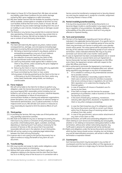- 20.4.Subject to Clause 20.2 of the General Part, ING does not exclude any liability under these Conditions for loss and/or damage caused by ING's gross negligence or wilful misconduct.
- 20.5.ING does neither warrant that the facilities for providing a Service will be available, uninterrupted or complete at all times nor that such facilities shall be free from errors, faults or Viruses. ING will not be liable for any loss and/or damage resulting from the use of (or inability to use) a Service, including losses or damages caused by Viruses.
- 20.6.The Website or any Service may provide links to external internet sites operated by a third party or said sites may contain links to the Website or a Service. ING will not be liable for the operation, use or content of such third party internet sites.

#### **21. Indemnity**

- The Client will indemnify ING against any direct, indirect and/or consequential loss, damage, cost and expense (including legal expenses) incurred by ING and arising from or in connection with:
- (i) ING being or becoming involved in any dispute, judicial or extrajudicial proceeding or any out-of-court (redress) proceeding between the Client and a third party;
- (ii) the collection of amounts owed by the Client to ING;
- (iii) the garnishment and/or attachment of the Account;
- (iv) claims by third parties made against ING in relation to the Client or any Service, unless caused by the gross negligence or wilful misconduct of ING;
- (v) failure by the Client or User to comply with any applicable law or the terms of a Services Document;
- (vi) fraud committed by the Client or User; and/or
- (vii) any power of attorney granted by (a) the Client to the User or a third party or by (b) a third party to the Client, and/or any action taken thereunder, being invalid, non-binding or unenforceable.

#### **22. Force majeure**

ING will not be liable to the Client for its failure to perform any obligation under the Service Documents if such failure results from any cause beyond ING's reasonable control including, but not limited to, acts of God, war or acts of terrorism, industrial disputes, strikes any breakdown or failure of transmission or communication facilities or clearing and settlement organisations, power disruptions, acts, laws or regulations of national, foreign or international administrative, civil, or judicial authorities. If a force majeure event occurs, ING will take such actions or measures as may reasonably be required to limit the adverse effects of such event.

# **23. Third parties**

- 23.1.In providing the Services, ING may make use of third parties and may (partially) subcontract activities.
- 23.2.ING shall not be liable for any loss or damage incurred by the Client due to any actions or omissions of any third party (including any broker, (intermediary) bank, agent, custodian, exchange, depositary or clearing house) if such party is necessary for the provision of Services or ING can prove that it has exercised reasonable skill and care in the selection of such third parties.
- 23.3.ING will not be a party to any underlying legal relationships between the Client and any third party.
- 23.4.A person who is not a party to the Service Documents has no rights to enforce or enjoy the benefit of any (term of) such document.

#### **24. Transferability**

- 24.1.ING may transfer and assign its rights and/or obligations under the Service Documents to a third party.
- 24.2.Without ING's prior written consent, the Client's rights and obligations relating to the Services and the claim that the Client has vis-à-vis ING by virtue of the Account or in connection with a

Service cannot be transferred or assigned and no Security Interest can and may be created over it, except for a transfer, assignment or Security Interest in favour of ING.

# **25. Partial invalidity/unenforceability**

If at any time any provision of the Service Documents is or becomes illegal, invalid or unenforceable in any respect under any law or regulation of any jurisdiction, the legality, validity or enforceability of the other provisions shall not in any way be affected or impaired thereby.

### **26. Term and termination**

- 26.1.The term of the Agreement regarding each Service will be as indicated in the applicable Service Document. If no specific term is indicated it is entered into for an indefinite period of time and the Client may terminate such Service in writing with a one calendar month notice period. The notice period will be calculated from the first day of the calendar month following receipt of such notice of termination. Unless indicated otherwise ING may at any time terminate such Service with a two months' notice period.
- 26.2.In case an Agreement has been concluded between one or several ING Offices and one or several Clients and such Agreement or Service thereunder has been terminated between an ING Office and a Client, the Agreement remains valid with respect to the other ING Offices and Clients.
- 26.3.ING is authorised to terminate the Agreement or terminate or suspend any specific Service with immediate effect and without being required to pay damages or any form of compensation:
	- (i) if it is unlawful or contrary to any (international) sanction list to provide a Service;
	- (ii) if ING has established or reasonably suspects that the Client uses or used any Service for activities or purposes that (a) are contrary to laws or regulations, (b) can harm ING's reputation or (c) undermine the integrity of the financial system;
	- (iii) in case of (suspicion of) misuse or fraudulent use of a Service by the Client;
	- (iv) if the Client no longer uses the Services for purposes pertaining to its profession, trade or business or if the Client has become a Consumer;
	- (v) in the event of bankruptcy, insolvency, moratorium, statutory debt adjustment, dissolution or liquidation of the Client or any other analogous proceedings;
	- (vi) in case the Client breaches any of its obligations under the Service Documents and fails to correct such failure within five (5) Business Days of receiving written notice of default from ING; and/or
	- (vii) in case of the garnishment, seizure and/or attachment of any claim of the Client on ING.
- 26.4.Upon termination, all Tariffs and outstanding obligations of the Client relating to such Service are immediately due and payable, whether or not relating to transactions taking place before or after termination, without prior written notice being required. Any Tariffs paid in advance for said period will not be reimbursed.
- 26.5.Rights and obligations under the Service Documents and Services which by their nature should survive, including, but not limited to, any and all indemnification provisions, will remain in effect after termination or expiration thereof.

#### **27. Counterparts**

Each Services Document may be executed in any number of counterparts and this has the same effect as if the signatures on the counterparts were on a single copy of a Services Document.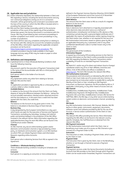# **28. Applicable law and jurisdiction**

- 28.1.Unless otherwise stipulated, the relationship between a Client and ING regarding a Service, including the Service Documents and any non-contractual obligations arising out of or in connection therewith, will be governed by and construed in accordance with the laws of the country in which the ING Office is located which is providing the relevant Service.
- 28.2.ING and the Client hereby irrevocably submit to the exclusive jurisdiction of the courts of the capital city of the jurisdiction whose laws govern the Service Documents in accordance with this Clause. ING may (if permitted by law) commence proceedings in another competent court and/or concurrent proceedings in any number of jurisdictions.
- 28.3.The Client will first raise any complaints arising from or relating to the Services with ING, taking into account the complaint procedure of the ING Office. Information regarding the applicable complaint procedure can be found on

https://www.ingpcm.com/en/complaints-procedures*.* The complaint procedure may be made available in the English language and any reply of ING may be made on paper or other durable medium.

#### **29. Definitions and interpretation**

29.1.Capitalised terms in these Wholesale Banking Conditions shall have the following meaning:

#### **Account**

Any account used for the execution of Payment Transactions held in the name of the Accountholder with ING or a third party PSP. **Accountholder** 

Each person which is the holder of an Account.

#### **Agreement**

Any agreement and/or any other form relating to Services between ING and the Client.

#### **App**

An application provided or approved by ING or a third party PSP on a phone, tablet or other (mobile) device.

# **Available Balance**

In relation to the Account the amount that the Client can freely dispose of, being the difference between the Balance - taking into account possible reservations, blocked and/or attached amounts and the zero balance or, in the event that a credit limit has been agreed with the Client, the credit limit.

#### **Balance**

The balance on the Account at any given point in time. This balance is calculated on Business Days at fixed intervals.

# **Business Day**

A day designated by the European Central Bank as a day upon which banks are open for the execution of Services and Payment Transactions, excluding any Saturdays, Sundays and national public and banking holidays in the jurisdiction of the ING Office involved in the relevant Service. More information regarding the applicable Business Days for each ING Office can be found in the Tariff Brochure and/or Website.

#### **Channel**

An ING Channel, any secure online banking system and/or electronic communication channel or App provided by a third party, an interbank communication system, or an ING interface via which PSPs can initiate Payment Orders and Information Requests regarding online Accounts.

#### **Client**

Each person who is obtaining Services from ING as agreed in the Agreement.

#### **Conditions** or **Wholesale Banking Conditions**

These wholesale banking conditions including its Schedules and annexes.

#### **Consumer**

Each person in a capacity as consumer or micro-enterprise (as

defined in the Payment Services Directive (Directive 2015/2366/EC of the European Parliament and of the Council of 25 November 2015 on payment services in the internal market)). **Debit Balance** 

The amount that the Client owes to ING as a result of a negative Balance on the Account.

# **Electronic Signature**

Data in electronic form attached to or logically associated with other electronic data and which serve as a method of authentication, including but not limited to a PKI, devices or files containing a private key with a personal digital certificate and, if applicable, the means of authentication and/or signing chosen by the Client and/or User, whether or not required for the use of an ING Authorisation Instrument, based on options given by ING, or an applicable third party (e.g. a password, and/ or any other confidential identification code or number known only to the Client or User).

#### **General Part**

The general part of the Conditions.

#### **Information Request**

A request by a third party PSP providing services to the Client to disclose information on the Client's online accessible Account(s) with ING regarding the Balance, Payment Transactions and/or availability of funds for an intended Payment Transaction. **ING** 

ING Bank N.V. and/or any of its direct and indirect (local or foreign) subsidiaries and/or any of its or their affiliates, branches and offices. A list of ING entities and offices is available at www.ing.com. The term ING includes the relevant ING Office.

# **ING Authorisation Instrument**

The procedures and instruments as indicated by ING which the Client or User must make use of to access and use a Service, to give (consent to) an Instruction and/or to enable ING to verify the identity of the Client or User, including an ING Payment

Instrument, an Electronic Signature, the PKI provided by ING or, if applicable, a third party, or any other means of access and use. **ING Channel** 

InsideBusiness, InsideBusiness Payments, InsideBusiness Trade, InsideBusiness Payments CEE Regional Site, InsideBusiness Payments CEE Local Sites, InsideBusiness Connect, ING Service for SWIFTNet, EBICS, the ING App, or any other secure online banking system and/or an electronic communication channel provided by ING.

#### **ING Goods**

Any ING Authorisation Instrument, ING Channel, Website, ING PKI device or other goods, instruments, equipment, documents, software-carrier and software provided by ING for the use of an Account, a Service and/or authentication of the Client or User. **ING Office** 

The relevant ING office providing the Service. More information regarding the ING office can be found in the relevant country specifics Schedule, the Tariff Brochure or obtained from the relevant ING Office.

#### **ING Paument Instrument**

An ING Authorisation Instrument which the Client, User or Beneficiary must make use of to access an ING Channel or give (consent to) a Payment Order to ING.

#### **Instruction**

The instruction or order, including a Payment Order, which is given by the Client or User.

#### **Payment Order**

The instruction that is given by the Client, User or the Beneficiary, whether or not through a Channel to execute a Payment Transaction.

#### **Payment Services**

The payment services under the Service Documents (including an Account) that ING provides to the Client through which Payment Orders can be issued and/or forwarded, Payment Transactions can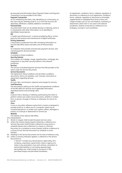be executed and information about Payment Orders and Payment Transactions can be provided to the Client.

#### **Payment Transaction**

An act initiated by the Client, User, Beneficiary or a third party, as the case may be, whereby funds in, to or from the Account are deposited, withdrawn, credited, debited or transferred.

# **Personal Data**

Any information that can be related directly or indirectly, alone or in combination with other information, to an identified or identifiable natural person.

#### **PKI**

A "public key infrastructure", a service provided by ING or a third party for the issuance and maintenance of digital certificates.

#### **Privacy Statement**

A document or statement from ING containing information on how the ING Office treats and takes care of Personal Data. **PSP** 

An institution that provides and executes payment services, also named payment services provider.

# **Schedule**

A schedule to these Conditions.

# **Security Interest**

(The creation of) a pledge, charge, hypothecation, mortgage, lien, assignment or any other security interest in the relevant jurisdiction.

#### **Services**

The services (including Payment Services) that ING provides to the Client under the Service Documents.

#### **Service Documents**

The Agreement, these Conditions and all (other) conditions, documents, (terms on) websites, user manuals, instructions or agreements regarding Services.

#### **Tariffs**

All costs, fees, commissions, expenses and charges for Services. **Tariff Brochure** 

The document(s) setting out the Tariffs and operational conditions of the ING Office for Services and if applicable information regarding interest and exchange rates.

#### **User**

A person that is directly or indirectly authorised by the Client to perform certain acts and/or issue Instructions, whether in written form, in person, through a Channel, or otherwise, for and on its behalf.

#### **Virus**

A virus or any other software routine that is meant or designed to provide access to, or allow use of, a computer system by an unauthorised person, to render such system useless, damaged or erased, or to disrupt or deteriorate its normal use.

#### **Website**

The website of the relevant ING Office.

# 29.2.Interpretation:

- (i) Words in singular shall include the plural and vice versa.
- (ii) Unless the context clearly requires otherwise, a reference to a Services Document shall include a reference to any annex or schedule thereto and a reference to a clause in a Services Document (or a schedule or annex thereto) shall be a reference to a clause of such Services Document (or schedule or annex thereto).
- (iii) Headings in the Service Documents are for ease of reference only.
- (iv) Unless a contrary indication appears, a reference in the Service Documents to
	- a "person" includes any natural person, legal entity, firm, company, corporation, government, state or agency of a state or any association, trust, joint venture, consortium or partnership (whether or not having separate legal personality) and shall include its successors in title, permitted assigns and permitted transferees;
- an agreement, conditions, terms, rulebook, regulation or document is a reference to such agreement, conditions, terms, rulebook, regulation or document as amended, supplemented or readopted from time to time; and
- a legal concept such as, but not limited to, insolvency or attachment, which term is not used in the relevant jurisdiction, shall be construed as a reference to an analogous concept in such jurisdiction.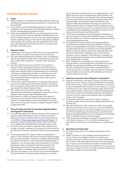# **Schedule Payment Services**

# **1 Scope**

- 1.1 Payment Services are intended for transfers, deposits, receipt and withdrawal of funds pertaining to the profession or business of the **Accountholder**
- 1.2 This Schedule is part of the Wholesale Banking Conditions. The conditions in the General Part of the Wholesale Banking Conditions and this Schedule apply to Payment Services.
- 1.3 Parties acknowledge that ING, when providing Payment Services, must comply with the rules and regulations of third parties such as the European Payments Council or any other relevant payment scheme, authority or body. In the event of a discrepancy between a Services Document and the rules and regulations of such third party, ING will provide the Payment Services in accordance with the rules of such third party.

# **2 Payment Orders**

- 2.1 Information on the manner in which the Client can give Payment Orders to ING is included in the relevant Service Documents.
- 2.2 The Client shall provide ING with complete, correct, unambiguous and accurate Payment Orders. ING is authorised to act upon and rely on information contained in a Payment Order howsoever received.
- 2.3 The Client will have to give its consent for the execution of Payment Orders. Unless agreed otherwise, the Client gives its consent to a Paument Order by entering its Electronic Signature and/or other required means of authentication and submitting it or otherwise completing the initiation. If consent by more than one User is required this shall be given once all relevant Users have entered their Electronic Signature and/or other required means of authentication.
- 2.4 If a Channel is used for the initiation of a Payment Order without (the use of) an ING Payment Instrument, the Client is deemed to have consented to the execution of the Payment Order once ING has received the relevant Payment Order.
- 2.5 ING is authorised to issue further instructions and set requirements and limitations regarding the use and form of any Payment Order and any means of authentication.
- 2.6 Each (manner to initiate a) Payment Order will be subject to restrictions as set out by ING in the Service Documents. Not all manners to initiate Payment Orders are available to each Client and a Client can only use a manner to initiate a Payment Order if so approved by ING.

### **3 Time of receipt and start of execution Payment Orders and Payment Transactions**

- 3.1 A Cut-off Time applies with respect to the start of the execution of Payment Orders. Information on the Cut-off Times and other times prior to which a Payment Order has to be received by ING are available at https://www.ingpcm.com/en/cut-off-times or as otherwise communicated by ING. Changes in the Cut-off Times can be applied with immediate effect and without prior notice.
- 3.2 The point in time of receipt of a Payment Order, whether or not through a Channel, is deemed to be the point in time that ING has recorded that it has been received and the Client has consented to it.
- 3.3 The execution period of a Payment Order as contemplated in Clause 4 of this Schedule shall start on the day of receipt provided that such Payment Order is received on a Business Day and before the relevant Cut-off Time. In the event that the Payment Order is received on a non-Business Day or after the relevant Cut-off Time, the Payment Order is deemed to have been received on the following Business Day. ING may make a reservation for the Payment Order in accordance with Clause 8 of this Schedule**.**
- 3.4 The Client may request, in the manner as set out and indicated by ING, that execution of a Payment Order shall start on a specific

day, at the end of a certain period or, if so agreed by ING, on the day on which the Client has placed funds at ING's disposal. The point in time of receipt of such Payment Order will be considered to be the agreed day for execution of the Payment Order. If the requested day is not a Business Day for the ING Office, the Payment Order will be deemed to have been received on the following Business Day. If a calendar month has fewer days than the date upon which the execution of a Payment Order to transfer a specified amount periodically is scheduled, the execution shall start on the last Business Day of that month.

- 3.5 Cut-off Times may apply for incoming Payment Transactions. If such transaction is not received on a Business Day or is received after the relevant Cut-off Time it is deemed to have been received on the following Business Day.
- 3.6 ING shall execute Payment Orders and incoming Payment Transactions on the basis of the Unique Identifier. A Payment Order or incoming Payment Transaction is deemed to be executed correctly if ING executes it on the basis of the Unique Identifier. Neither a name nor address is part of the Unique Identifier even when such information is required e.g. for control purposes pursuant to laws or regulations. ING shall have no obligation to check any discrepancies between the provided Unique Identifier and provided name or address.
- 3.7 ING is not liable for the consequences of the execution of a Payment Order or incoming Payment Transaction if the Unique Identifier provided does not belong to the intended person. However, if requested, ING shall make a reasonable effort to recover the monies in connection with the Payment Transaction. Any reasonable costs incurred by ING relating to such recovery may be charged to the Client.

# **4 Maximum execution time of Payment Transactions**

- 4.1 Paument Transactions in the lawful currencu of the EEA countru where the Account is held, to an account held with a PSP located in the same countru, as well as Payment Transactions in euros to an account held with a PSP located in an EEA country or a country that forms part of the "Single Euro Payments Area" from time to time shall be credited to the account of the PSP of the Beneficiary at the latest by the end of the following Business Day following the point in time of receipt of the Payment Order as specified in Clause 3 of this Schedule.
- 4.2 If a Payment Transaction referred to in Clause 4.1 above is initiated on paper, the execution period shall be extended by one Business Day.
- 4.3 Paument Transactions in the currencu of an EEA country which does not have the euro as its currency, to an account held with a PSP located in an EEA country shall be credited to the account of the PSP of the Beneficiary at the latest by the end of the fourth Business Day following the point in time of receipt of the Payment Order as specified in Clause 3 of this Schedule.
- 4.4 Other execution periods apply to Payment Transactions that do not fall under Clauses 4.1, 4.2 or 4.3 of this Schedule. More information can be found in the Tariff Brochure or obtained from ING.

# **5 Book Date and Value Date**

- 5.1 The Client cannot prevent the crediting of payments into its Account.
- 5.2 Subject to Clause 3.5 of this Schedule, when ING receives an amount that is to be credited to the Account without any currency conversion, or with a currency conversion between two EEA currencies, ING shall credit this amount on the same Business Day. In that case, the Value Date is the same as the Book Date. When ING receives an amount to be credited to the Account and a currency conversion in or from a non-EEA currency is required, the Book Date can differ from the Value Date.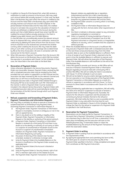- 5.3 In addition to Clause 8 of the General Part, when ING receives a notification to credit an amount to the Account, ING may credit such amount before ING actually receives it. In that case, the Book Date is the Business Day upon which the amount is credited to the Account and the Value Date is the Business Day upon which ING actually receives such amount and is at ING's disposal. In the period between the Book Date and the Value Date, the credited amount is not taken into account for the calculation of interest. If monies are withdrawn or debited from the Account during this period such that a Debit Balance would have arisen had ING not credited the amount before actually receiving it, the Client is obliged to pay debit interest over this Debit Balance. In case ING does not unconditionally receive the relevant amount free at its disposal ING may, without prior notification, reverse the credit entry by debiting the same amount from the Account. If the amount received or to be received was converted into another currency when crediting the Account, ING may make the debit entry in such other currency at an exchange rate as determined by ING at the time of execution. All costs in connection with the reversal are for the Client's account.
- 5.4 When ING executes a Payment Transaction from the Account, ING debits the Account on the Business Day on which ING has started the execution in accordance with Clause 3 of this Schedule. In that case, the Value Date is the same date as the Book Date

#### **6 Revocation of Payment Orders**

Unless otherwise stipulated in the Service Documents, Payment Orders are irrevocable. However, Payment Orders received by ING with a scheduled execution date may be revoked by the Client provided that such option is supported in an ING Channel and the revocation has been received by ING via the relevant Channel and before the Cut-off Time on the Business Day preceding the scheduled execution date. A Payment Order initiated through a third party PSP has to be revoked with such PSP. Information on the manner in which a Payment Order must be revoked is included in the relevant Service Documents. Payment Orders with a scheduled execution date will not automatically be revoked by the termination of the ING Channel through which such Payment Order was initiated.

#### **7 Refusal, suspension and forwarding of Payment Orders, Payment Transactions and Information Requests**

- 7.1 ING may (fully or partially) (a) refuse to execute or forward or (b) suspend execution or forwarding of any Payment Order, (incoming) Payment Transaction or Information Request, if:
	- (i) the Payment Order, Payment Transaction or Information Request is incomplete, incorrect or ambiguous or not in line with an agreed Service;
	- (ii) there is any doubt as to the validity or legality of the Payment Order, Payment Transaction or Information Request or the identity or authority of the person giving it;
	- (iii) a Payment Order, Payment Transaction or Information Request is received via a third party PSP and there is any doubt as to the identity or authority of such party or there is a suspicion of unauthorised or fraudulent access to the Account or suspicion of unauthorised or fraudulent initiation of a Payment Order, Payment Transaction or Information Request by such party;
	- (iv) the power of attorney of the relevant User has been amended, revoked or is otherwise no longer valid;
	- (v) (only for Payment Orders) the Available Balance on the Account is insufficient or the Payment Order exceeds any applicable limit;
	- (vi) (only for Payment Orders) the Account is blocked or attached;
	- (vii) (only for Payment Orders) a Security Interest, right of setoff or a retention right exists on the related Account;
	- (viii) the Payment Order, Payment Transaction or Information

Request violates any applicable law or regulation, (inter)national sanction list or ING's internal policy;

- (ix) the Payment Order or Information Request violates or breaches any agreement between ING and the Client;
- (x) the Payment Order concerns a currency which is not freely available to ING;
- (xi) the Payment Order or Information Request does not comply with the form, format and/or other requirements of ING;
- (xii) the Client is indicted or otherwise subject to any criminal or regulatory investigation or convicted; or
- (xiii) there is a suspicion of money laundering or fraud or a suspicion of unauthorised or fraudulent use of an ING Payment Instrument or a Payment Service, or irregularities related to its security, until it is evident that this suspicion is without grounds.
- 7.2 When the Available Balance on the Account is insufficient ING may execute a Payment Order with a scheduled execution date on the next three consecutive Business Days from the initial execution date as soon as the Available Balance is sufficient. Point in time of receipt of such Payment Order is deemed to be the point in time the Available Balance is sufficient to execute such Payment Order. ING will refuse the (execution of the) Payment Order if the Available Balance is still insufficient at the end of the third Business Day.
- 7.3 Unless ING agreed to provide such Service, an ING Office will not execute or forward a received Payment Order or Information Request regarding an Account held with a third party PSP or another ING Office. ING will not notify the Client in accordance with Clause 7.5 of this Schedule in such an event.
- 7.4 ING will not be liable for any loss and/or damage resulting from the non-execution or non-timely execution of the Payment Order, Payment Transaction or Information Request as a result of a refusal or suspension in accordance with this Clause 7 or from a reversal of a Direct Debit in accordance with Clause 19.2 of this Schedule.
- 7.5 Unless prohibited by applicable laws or regulations, ING will notify the Client of its refusal or suspension to execute or forward a Payment Order or Information Request and, if possible, the reasons for the refusal or suspension and the procedure for correcting any factual mistakes that led to the refusal or suspension. ING shall notify the Client as soon as possible and for Payment Orders in any case within the time lines for such Payment Order as indicated in Clause 4 of this Schedule. ING may charge the Client for the refusal or suspension of a Payment Order as specified in the Tariff Brochure.

#### **8 Reservation for Payment Transactions**

Reservations can be made bu ING for Paument Transactions. In the event that a Payment Transaction is received on a day that is not a Business Day or after the Cut-off Time, a reservation, if any, takes place immediately and the execution will start on the following Business Day. A reservation lowers or raises the Available Balance by the amount of the Payment Transaction to which the reservation relates.

#### **9 Payment Order in writing**

- 9.1 A Payment Order in writing must be submitted in accordance with the requirements of ING.
- 9.2 By signing the appropriate form and submitting this form to ING, the Client gives its consent to the execution by ING of the Payment Order specified in the form. A fully completed and signed form constitutes an ING Payment Instrument.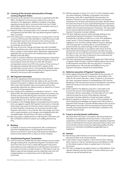### **10 Currency of the Account and execution of foreign currency Payment Orders**

- 10.1 Accounts can be opened in the currencies as specified by the ING Office. The Balance on the Account is held in the currency as indicated in the Agreement. Additional conditions may apply regarding Accounts held in currencies other than Euro, United States Dollar, British Pound, Swiss Franc or the lawful currency of the jurisdiction where the Account is held.
- 10.2 Payment Orders can be executed in the currencies as specified and agreed by the ING Office. ING may decline Payment Orders in other currencies.
- 10.3 If the Client pays or receives amounts in a currency that is not the currency of the Account, ING shall debit or credit the Account with the equivalent value of such amounts in the currency of the Account. ING will determine the equivalent value on the basis of an exchange rate set by ING.
- 10.4 ING may, at any time, change exchange rates with immediate effect and without prior notice. Exchange rates are determined by ING on a daily or more frequent basis. Information regarding the applicable rate can be found in the Tariff Brochure and/or the Website of the ING Office.
- 10.5 In order to maintain a Balance and execute Paument Transactions in the currency of the Account, other than the lawful currency of the jurisdiction where the Account is held, ING will hold a correspondent account at a PSP in the country of that currency. If the Agreement between ING and the PSP in respect of the correspondent account ends or is terminated for whatever reason, ING may terminate the Agreement and/or the Payment Service relating to the Account with immediate effect.

# **11 ING Payment Instrument**

- 11.1 The terms regarding an ING Authorisation Instrument as incorporated in the General Part also relate to the use of an ING Payment Instrument. In addition the Client shall, and shall ensure that a User shall, forthwith report to the police and the other appropriate authorities the relevant events as referred to in Clause 5.7 under (i) of the General Part.
- 11.2 Upon receipt of the notification as indicated in Clause 5.7 of the General Part, ING shall take appropriate measures to prevent any (further) misuse of the ING Payment Instrument. At the Client's request ING will provide it with the means to prove that it made such notification up to 18 months after the notification.
- 11.3 In addition to the Available Balance and possible limits for User(s), limits can apply for specific ING Payment Instruments or Channels. These limits may consist of minimum and/or maximum amounts for which Payment Transactions can be carried out with an ING Payment Instrument or via a Channel. ING may change such limits and in urgent situations such changes can be applied by ING with immediate effect. ING will inform the Client accordingly.
- 11.4 ING may assign a validity period to a ING Payment Instrument and ING is entitled to shorten or extend such validity period at any time.

#### **12 Blocking**

In addition to Clause 6 of the General Part, ING is authorised to block the Available Balance, an ING Payment Instrument or (access to a) Service in case of any of the events as indicated in Clause 6 of the General Part or Clause 32 of this Schedule.

#### **13 Unauthorised Payment Transactions**

13.1 Until the Client has notified ING, the Client will bear any loss and/or damage resulting from unauthorised Payment Transactions that result from the use of a lost or stolen ING Payment Instrument, personalised security credentials of an ING Payment Instrument or any means of access to an ING Channel or, if the Client or User has failed to keep the personalised security credentials safe, from the misappropriation or unauthorised use of an ING Payment Instrument.

- 13.2 Without prejudice to Clause 13.1 and 13.3 of this Schedule and/or any other limitations of liability as stipulated in the Service Documents, when ING is responsible for the execution of a Payment Transaction and has established that such Payment Transaction has not been authorised by the Client, ING will refund the Client the amount of such unauthorised Payment Transaction no later than by the end of the following Business Day after being notified of the unauthorised Payment Transaction. The Value Date of such refund shall be the date the amount of the unauthorised Payment Transaction has been debited.
- 13.3 The Client shall bear any loss and/or damage relating to any unauthorised Payment Transaction if incurred by acting fraudulently or by failing to fulfil one or more of its obligations under Clause 11 of this Schedule intentionally or with gross negligence. If so, the Client shall be liable for any loss, damage, costs and expenses incurred by ING as a result thereof or to prevent further loss and/or damage to ING or third parties.
- 13.4 When ING demonstrates, in accordance with Clause 10 of the General Part that the Payment Transaction has been executed through the use of an ING Payment Instrument made available to the Client or User, the Client is deemed to have authorised and consented to the Payment Transaction.
- 13.5 The Client expressly acknowledges and agrees that if ING receives a Payment Order through a Channel initiated without (the use of) an ING Payment Instrument, ING may rely that it is issued by authorised persons. ING excludes any liability for any such Payment Transaction claimed to be unauthorised.

#### **14 Defective execution of Payment Transactions**

- 14.1 Unless agreed otherwise, ING, if responsible for the execution of Payment Orders or Payment Transactions, will be liable to the Client for the correct execution, unless, if relevant, it can prove to the Client, and where relevant to the Beneficiary's PSP, that the Beneficiary's PSP received the amount of the Payment Transaction within the maximum execution timelines of Clause 4 of this Schedule.
- 14.2 If ING is liable for the defective execution, it will credit to the Account the amount of the defectively executed Payment Transaction without undue delay. The Value Date of such credit shall be the date the amount of the defective Payment Transaction has been debited or should have been credited.
- 14.3 Without prejudice to Clause 14.1 and 14.2 of this Schedule, the Client expressly acknowledges and agrees that if ING receives a Payment Order through a Channel initiated without (the use of) an ING Paument Instrument. ING has executed the Paument Order correctly if executed based on the information contained in the received Payment Order.

#### **15 Fraud or security threats notifications**

ING shall inform the Client in accordance with the procedure as indicated in the applicable Service Documents, in the event of suspected or actual fraud or security threats regarding a Payment Service or ING Payment Instrument used by the Client, unless such communication would compromise objectively justified security reasons or is restricted or prohibited by applicable laws or regulations.

#### **16 Interest**

- 16.1 ING will only credit interest to an Account that has been agreed by ING and the Client to be interest bearing.
- 16.2 Credit interest may be negative, in that case the Client shall pay either interest or a fee for maintaining any Credit Balance to ING on the interest payment dates as agreed upon in the Service **Documents**
- 16.3 The Client is obliged to pay debit interest on a Debit Balance. If the relevant reference rate (e.g. Euribor or Eonia) is below zero, such reference rate will be deemed zero.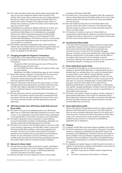- 16.4 The credit and debit interest rate shall be determined by ING. ING may, at any time change the interest rates (including, if the interest rate is based upon a reference rate, the margin applied by ING above or below such reference) with immediate effect and without prior notice. Changes in the reference upon which an interest rate is based (e.g. Euribor for Eonia) can be made by ING upon two months' notice.
- 16.5 A Debit Balance exceeding an agreed credit limit (or if none, any Debit Balance) constitutes an unauthorised Debit Balance. An unauthorised Debit Balance is immediately due and payable without prior written notice being required and default debit interest rates apply and shall accrue until repayment of the unauthorised Debit Balance. The existence, even for a short period, of an unauthorised Debit Balance does not imply that the Client has any right to a credit limit.
- 16.6 Information regarding the applicable credit, debit and default interest rates, the interest periods and interest payment dates can be found in the applicable Service Documents, Tariff Brochure and/or the Website of the ING Office.

# **17 Charging principles for Payment Transactions**

- 17.1 A distinction can be made between three tupes of charaina principles with respect to the costs of the execution of Payment Transactions:
	- Shared Cost (SHA): the Client pays the costs of ING and the Beneficiary pays the other costs;
	- Our Cost (OUR): the Client, initiating the Payment Order, pays all costs involved;
- Beneficiary Cost (BEN): the Beneficiary pays all costs involved. 17.2 When ING executes a Payment Transaction from the Account to an account held with a PSP located in an EEA country, the transaction will be executed by ING based on SHA, even if the Client has opted for OUR or BEN.
- 17.3 Payment Transactions which do not fall under Clause 17.2 of this Schedule shall be executed by ING in accordance with the choice for OUR, SHA or BEN as specified in the Payment Order. If no choice is made the Paument Transaction will be executed on the basis of SHA.
- 17.4 ING will charge the costs for incoming Payment Transactions to the Client in accordance with the instructions received with that transaction. ING has the right to deduct the amount of the costs from the transaction amount, but shall specify these amounts separately.

### **18 SEPA Direct Debit Core, SEPA Direct Debit B2B and local Direct Debit**

- 18.1 The Client's Account can be debited based on (i) a SEPA Direct Debit Core or a SEPA Direct Debit B2B, provided the Account is held in euro, or (ii) if applicable, a local Direct Debit scheme, depending on the specifications in the Client's mandate to such Direct Debit.
- 18.2 The Client is deemed to have consented to a Direct Debit by issuing its Direct Debit mandate to the Beneficiary. Mandates can only be revoked with the Beneficiary and not with ING.
- 18.3 The Client must submit to the ING Office where its Account is held, in the manner as required by such ING Office, either a copy of the SEPA Direct Debit B2B mandate or information regarding such mandate. The Client must further submit specific instructions relating to that mandate and any revocations and amendments thereto. All such information must be submitted as soon as possible and at the latest the Business Day preceding the day the (next) Direct Debit under the mandate has been scheduled.

# **19 Refund of a Direct Debit**

- 19.1 ING will refund a Direct Debit at the Client's request submitted in accordance with Clause 19.3 of this Schedule, irrespective of the underluing reason for such request. A SEPA Direct Debit B2B cannot be refunded at the Client's request.
- 19.2 ING has the right at its own initiative to reverse a Direct Debit.

including a SEPA Direct Debit B2B.

- 19.3 The Client must, in the manner indicated by ING, file a request to refund a Direct Debit with the ING Office where its Account is held within 8 weeks from the date on which the funds were debited from the Account.
- 19.4 ING shall credit the total amount of the Direct Debit to the Account of the Client within a maximum of ten Business Days after the receipt of a timely and correctly submitted request to refund such Direct Debit.
- 19.5 In the event of a refund or reversal of a Direct Debit, no compensation shall be paid for expenses or interest that has been charged to the Client. Furthermore, no credit interest shall be paid over the amount of the refund or reversal.

# **20 Unauthorised Direct Debit**

In the event that the period to request a refund of a Direct Debit as specified in Clause 19 of this Schedule has expired and the Client claims that the Direct Debit was unauthorised, the procedure set out in Clause 30 of this Schedule will apply. .<br>However, the Client cannot claim with ING that a SEPA Direct Debit B2B was unauthorised, if it has failed to inform the ING Office in accordance with Clause 18.3 of this Schedule of specific instructions relating to the relevant mandate or any revocation or amendment thereof in a timely and correct manner.

### **21 Direct Debit block by the Client**

- 21.1 If requested ING will apply to, or remove from the Account, a selective or general Direct Debit block. A selective block can be a blacklist block or a whitelist block. As a result of a blacklist block, any Direct Debit to the credit of a Unique Identifier, creditor identification number, mandate identification number or to the credit of accounts held with a PSP in a certain country will not be executed. As a result of a whitelist block, no Direct Debit will be executed, except for Direct Debits to the credit of those Beneficiary identification numbers (if applicable, in combination with specific mandate identification numbers) which the Client has expressly communicated to ING. As a result of a general block, no Direct Debit will be executed.
- 21.2 The Client must submit a request to apply or revoke a selective or general Direct Debit block in the manner as indicated by ING. A Direct Debit block shall come into effect no later than the following Business Day after receipt of such request provided it has been received before the Cut-off Time.

# **22 Direct Debit block by ING**

ING has the right at its reasonable discretion to apply a general or selective Direct Debit block to the Account. ING shall notify the Client as soon as possible stating the reasons for the block and if necessary which measures the Client should take to lift the block, unless such communication would compromise objectively justified security reasons or is restricted or prohibited by applicable laws or regulations.

#### **23 Cheques**

- 23.1 If agreed, the ING Office will make Cheques available to the Client.
- 23.2 The Client is deemed to have consented to a Payment Transaction based on a Cheque by completing and signing the Cheque and providing it to the Beneficiary. The Client's Account will, subject to these Conditions and any limitations regarding the execution of Payment Orders and Payment Transactions, be debited based on such Cheque presented by or on behalf of the Beneficiary to ING for payment.
- 23.3 A completed and signed Cheque is an ING Payment Instrument. In addition to the provisions relating to ING Payment Instruments the following applies to the use of Cheques:
	- (i) the Client may only use Cheques issued or approved by ING;
	- (ii) the Client may not put a future date on a Cheque;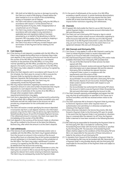- (iii) ING shall not be liable for any loss or damage incurred by the Client as a result of ING paying a Cheque before the date inserted on it or as a result of the counterfeiting, forgery or fraudulent use of Cheques;
- (iv) the Client shall without undue delay notify the ING Office in accordance with Clause 5.7 of the General Part on becoming aware of any loss, theft, misappropriation or unauthorised use of a Cheque;
- (v) the Client may revoke or stop payment of a Cheque in accordance with and subject to any restrictions in applicable laws and regulations before it has been presented by or on behalf of the Beneficiary to ING for payment. ING may apply a fee for revoking or stopping a Cheque as specified in the Tariff Brochure; and
- (vi) the Client must return to ING any unused Cheques upon termination of (the Payment Service relating to) the Account.

### **24 Cash deposits**

- 24.1 If the Service of cash deposits is available with the ING Office, the Client may if agreed during office hours on Business Days make cash deposits in the currency of the Account into the Account at the counter of the ING Office, if available, at a cash deposit machine on the premises of the ING Office, or in any other manner specified by the ING Office, provided the currency of the deposit is the lawful currency of the jurisdiction of the ING Office. The Client may make a deposit in another currency if so agreed by the ING Office.
- 24.2 When the Client deposits cash in accordance with Clause 24.1 of this Schedule, the Client gives its consent to ING to execute the Payment Order by signing the relevant form, entering its Electronic Signature, ING Authorisation Instrument or via any other method as required by ING. The Client may not subsequently revoke the Payment Order.
- 24.3 ING may impose restrictions regarding the minimum and/or maximum amount in coins and number of banknotes that may be deposited at a cash deposit machine. If the Client wishes to deposit coins or banknotes at the counter of an ING Office or through other accepted means, additional requirements/restrictions may apply.
- 24.4 Cash that is deposited by the Client is counted and its authenticity may be verified. ING is obliged to confiscate counterfeit coins and banknotes and will not credit these to the Account nor will it provide any compensation for the confiscated coins and banknotes.
- 24.5 The Client will receive a receipt specifying the amount deposited. A transaction slip from a cash deposit machine is for information purposes only and the Client may not derive any rights therefrom. Notwithstanding Clause 29 and 30 of Schedule Payment Services, if the referenced amount is incorrect, the Client must report this immediately at the counter of the ING Office.
- 24.6 Cash deposits in the currency of the Account made on a Business Day will be credited to the Account at the latest the following Business Day, after which the amount is at the Client's disposal.

# **25 Cash withdrawals**

- 25.1 If the Service of cash withdrawals in banknotes and/or coins is available with the ING Office, the Client may if agreed withdraw from the Account an amount in the currency of the Account during office hours on a Business Day at the counter provided the amount withdrawn is in the lawful currency of the jurisdiction of the ING Office. The Client may make a withdrawal in another currency if so agreed by the ING Office. Amounts withdrawn will be debited from the Account the same day.
- 25.2 When the Client withdraws cash in either banknotes or coins, the Client gives its consent to ING to execute the Payment Order by signing the relevant form and/or entering its Electronic Signature. The Client may not subsequently revoke the Payment Order.

25.3 In the event of withdrawals at the counter of an ING Office exceeding a specific amount, in certain banknote denominations or in a large amount of coins, ING may require that the Client notifies ING at least three Business Days in advance. ING may impose further restrictions regarding cash withdrawals.

#### **26 Channels**

- 26.1 If agreed, ING shall enable the Client to use an ING Channel to submit Payment Orders to and receive account information from ING and third party PSPs
- 26.2 The Client can use a third party PSP Channel or App to submit Payment Orders and/or receive account information regarding its online Accounts held with ING, with the use of its ING Payment Instrument. If no ING Payment Instrument is used, the Client can only use such Channel or App if and to the extent there is an agreement between ING and such third party PSP.

### **27 ING Channels and third party PSPs**

- 27.1 This Clause 27 only applies in case an ING Channel is used by the Client to initiate Payment Orders or receive information with respect to an Account held with a third party PSP.
- 27.2 ING shall forward Paument Orders to third party PSPs and/or make available information from third party PSPs provided that:
	- the use of the ING Channel for these services has been agreed with ING;
	- agreements to forward, receive and execute Payment Orders and information are in place between ING and the relevant third party PSPs to facilitate the relevant Services;
	- a Payment Order is given in compliance with the requirements and instructions of ING;
	- the Accountholder has authorised the Client to add the Accountholder's Account(s) held with a third party PSP to the ING Channel, dispose of such Account(s), forward Payment Orders and/or receive information with respect to such Account(s); and
	- the Accountholder has authorised the third party PSP where the Account is held to execute Payment Orders forwarded by ING and send information regarding the Account to ING.
- 27.3 The Client herewith expressly acknowledges and agrees that ING may rely that all authorisations as specified in this Clause are in full force and effect until ING has received written notice to the contrary.
- 27.4 The Client authorises ING to forward a Payment Order by entering its Electronic Signature and/or other required means of authentication and submitting it or otherwise completing the initiating of the Payment Order.
- 27.5 Unless otherwise indicated in the Service Documents, ING shall forward a Payment Order to the third party PSP upon its receipt. In the event that the Paument Order is not received on a Business Day or is received after the relevant Cut-off Time, the Payment Order is deemed to have been received on the following Business Dau.
- 27.6 ING shall only be responsible for forwarding the Payment Order to the third party PSP. ING is not liable for conformity of the forwarded Payment Order with the format standards as specified by the third party PSP. The execution of forwarded Payment Orders shall be subject to the conditions of the third party PSP and ING is not responsible for the execution of those instructions or liable for the actions of such third party PSP.
- 27.7 In deviation from Clause 6 of this Schedule, a Payment Order (to be) forwarded by ING may not be revoked with ING. Revocation of a Payment Order is only possible directly with the third party PSP responsible for the execution of the Payment Order and subject to its conditions.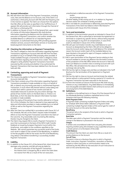### **28 Account information**

- 28.1 ING will inform the Client of the Paument Transactions, including costs, fees and the Balance on its Account, and, if the Client is so authorised, a third party Account with ING with the frequency and in the manner as agreed. The Client can choose from the options that ING offers at the rates as specified in the Tariff Brochure. If agreed, ING will provide such information through the Channel of the Client or a third party PSP.
- 28.2 In addition to Clauses 14 and 15 of the General Part, upon receipt of a (series of) Information Request(s) ING shall disclose information regarding the Balance and the initiation and execution of Payment Transactions, and confirm whether the Available Balance is sufficient for an intended Payment Transaction, to authorised third party PSPs providing payment initiation services, account information services or issuing cardbased payment instruments to the Client.

### **29 Checking the information on Payment Transactions**

The Client is obliged to check the information regarding Payment Transactions regarding an Account held with ING that has been provided to it by or on behalf of ING promptly when provided. If made available through a Channel the Client is obliged to check the information regularly and at least once a week. The Client is obliged to verify whether Payment Transactions have been executed by ING correctly and whether it has authorised the Payment Transactions that have been debited from the Account held with ING.

#### **30 Contesting, approving and recall of Payment Transactions**

- 30.1 This Clause only applies to Payment Transactions regarding Accounts held with ING.
- 30.2 If the Client contests any of the information regarding Payment Transactions provided or made available to it by or on behalf of ING, or detects any incorrectly executed or unauthorised Payment Transaction, it must inform ING thereof without undue delay and no later than within a period of two months and take all reasonable measures to prevent any loss and/or damage. The period of two months starts on the Book Date or, if there is no Book Date, as from the date the relevant information has been provided or made available.
- 30.3 After the expiry of the period of two months referred to in Clause 30.2 of this Schedule, the Client is deemed to have approved the data and information provided or made available by or on behalf of ING as well as the Payment Transactions regarding the Account.
- 30.4 After the Client has notified ING in accordance with Clause 30.2 of this Schedule, ING will, at the Client's request make immediate efforts to trace the Payment Transaction and inform the Client of the outcome. Any reasonable costs incurred by ING relating thereto may be charged to the Client.
- 30.5 The Client may request ING to recall a Payment Transaction in euro that is processed on the basis of the SEPA Credit Transfer Rulebook as issued by European Payments Council within the timeframes and subject to the conditions specified on the Website. ING cannot guarantee any successful recall of the funds, such recall is subject to the consent of the Beneficiary. In addition to the fee payable to ING for the recall, the PSP of the Beneficiary may deduct a fee before transferring a successfully recalled Payment Transaction.

# **31 Liability**

31.1 In addition to the Clause 20.1 of the General Part, direct losses and damages only comprise, and ING will only be liable for:

- the costs of execution of the Payment Transaction;
- the interest that is charged by ING or which the Client does not receive from ING as a result of the non-execution,

unauthorised or defective execution of the Payment Transaction; and/or

any exchange rate loss.

All other liability of ING arising out of, or in relation to, Payment Services and/or this Schedule is hereby excluded.

31.2 ING is not liable for unauthorised or defectively executed Payment Transactions if the Client has failed to inform ING thereof in accordance with Clause 30 of this Schedule.

# **32 Term and termination**

- 32.1 In addition to the termination grounds as indicated in Clause 26 of the General Part, ING is authorised to terminate the Agreement or terminate or suspend any specific Service, without being required to pay damages or any form of compensation, in case of the event as indicated in Clause 10.5 of this Schedule.
- 32.2 ING will upon termination transfer any Credit Balance to such Account as designated by the Client. ING will not be obliged to close the Account and/or repay any Credit Balance if for whatever reason the Account and/or (part of) the Available Balance has been blocked or the period for reject of Cheques credited to the Account has not expired.
- 32.3 ING is upon termination of the (Payment Service relating to the) Account entitled to convert any Balance into the lawful currency of the jurisdiction of the ING Office where the Account is held and book such Balance to another (new or existing) account with such ING Office. ING will determine the value on the basis of an exchange rate set by ING.
- 32.4 ING has the right to charge costs and fees as indicated in the Tariff Brochure for the termination of the Agreement or Payment Service.
- 32.5 ING has the right to close an Account and terminate the related Service without a notice period if during a period of 12 months no Paument Transaction has been executed on the Account.
- 32.6 As from the moment of closure of the Account ING shall not pay interest on any Credit Balance. Any Debit Balance is immediately due and payable and debit interest shall continue to accrue until actual payment of the Debit Balance.

### **33 Definitions**

In addition to the defined terms in Clause 29 of the General Part of the Wholesale Banking Conditions capitalised terms in this Schedule shall have the following meaning:

#### **Batch Payment Order**

A Payment Order containing multiple Payment Orders and solely for Schedule SEPA Direct Debit Collections a Payment Order containing multiple Payment Orders of the same type for credit of the same Account on the same Due Date.

# **Beneficiary**

The person who is the recipient of the funds to which a Payment Transaction pertains.

#### **Book Date**

The date upon which a Payment Transaction and the resulting change in the Balance is processed in the Account.

#### **Cheque**

A written and unconditional order from one party (the drawer) requiring another party (the drawee) to pay a specified amount to a certain person or to the bearer of the order.

# **Credit Balance**

The amount that the Client can claim from ING as a result of a positive Balance on the Account.

#### **Cut-off Time**

The point in time on a Business Day prior to which a Payment Order, Instruction, Payment Transaction, revocation or blocking request or other instruction or communication needs to be received by the ING Office for the execution of such instruction to start on the same Business Day.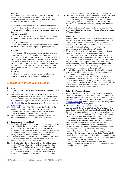#### **Direct Debit**

A Payment Transaction initiated by the Beneficiary on the basis of the Client's mandate given to the Beneficiary (and the

Beneficiary's PSP and/or ING) to be debited from the Account and credited to an account of the Beneficiary.

# **EEA**

The countries that form the European Economic Area from time to time. At the date of publishing these Conditions the EEA consists of the countries of the European Union, Iceland, Liechtenstein and Norwau.

#### **SEPA Direct Debit B2B**

A Direct Debit in euros (to be) processed based on the SEPA B2B Direct Debit Rulebook as issued by the European Payments Council.

#### **SEPA Direct Debit Core**

A Direct Debit in euros (to be) processed based on the SEPA Core Direct Debit Rulebook as issued by the European Payments Council.

#### **Unique Identifier**

The combination of letters, numbers and/or symbols which must be provided in a Payment Order or Payment Transaction to unambiguously identify the account of a person to enable a PSP to execute the requested Payment Transaction. Depending on the Payment Service used the Unique Identifier consists, to the exclusion of any other element, of (i) the national accountnumber or (ii) the International Bank Account Number (IBAN), in either case together with the Bank Identifier Code (BIC), to the extent required.

#### **Value Date**

The date as from which a Payment Transaction is taken into account for the calculation of interest (if applicable).

# **Schedule SEPA Direct Debit Collections**

#### **1. Scope**

- 1.1. If agreed, the ING Office will provide the Service "SEPA Direct Debit Collections".
- 1.2. SEPA Direct Debit Collections is a Service by which the Client can initiate Payment Orders to collect funds with its Debtors on the basis of a Mandate for a SEPA Direct Debit Core or SEPA Direct Debit B2B provided by such Debtors. More information regarding SEPA Direct Debits and the requirements of ING can be found on www.ingpcm.com.
- 1.3. This Schedule is part of the Wholesale Banking Conditions. The conditions in the General Part of the Wholesale Banking Conditions, the Schedule Payment Services and this Schedule apply to the Service "SEPA Direct Debit Collections".
- 1.4. Any reference in this Schedule to "Agreement" is a reference to the Agreement regarding SEPA Direct Debit Collections.

#### **2. Requirements for the Client**

- 2.1. The Client shall comply with the requirements and procedures set by ING and with the rules of the most recent version of the relevant SEPA Direct Debit Rulebook. ING may amend its requirements and procedures at any time. ING shall give the Client prior notice thereof and specify within what period the Client must comply with the amended requirements or procedures.
- 2.2. To be able to initiate SDD collections, the Client must have a valid and correct Creditor Identifier. Information how a Creditor Identifier can be obtained is available at ING.
- 2.3. The Client shall provide the Debtor with all relevant information about the SDD, including its Creditor Identifier and the unique Mandate reference, before submitting the first Payment Order relating to a Mandate. Furthermore, at least 14 calendar days prior to the Due Date of each SDD the Client shall give the Debtor notice of that Due Date and the amount of such SDD, unless

another timeline is agreed between the Client and the Debtor.

- 2.4. ING is not a party to the underlying agreement between the Client and the Debtor. Any dispute between the Client and the Debtor concerning that agreement, the Mandate and related payments, including any Refusal, Refund or Reject must be settled directly between the Client and the Debtor, without any involvement of ING.
- 2.5. The Client undertakes to limit the number of Refunds and Returns on an annual basis to a maximum of 2% each of the total number of Payment Orders.

#### **3. Mandates**

- 3.1. To initiate an SDD collection from the account of a specific Debtor, the Client must have a valid and duly signed Mandate from that Debtor. A Mandate must comply with ING's requirements, the rules of the relevant SEPA Direct Debit Rulebook and applicable laws and regulations. The Client shall be liable for the consequences of an invalid or incorrect Mandate.
- 3.2. The Client shall archive the original Mandate, any amendment thereto and, where applicable, information regarding its cancellation or expiry for the longer of the minimum retention period as required by applicable law and a period of 14 months after cancellation of the Mandate. Upon ING's or the Debtor PSPs request, the Client shall supply the original Mandate, a copy thereof and/or any other relevant information regarding an SDD collection within 7 Business Daus. The obligations of this Clause 3.2 shall survive any termination of the Agreement.
- 3.3. If the Debtor revokes the Mandate, the Client shall immediately cease to submit Payment Orders and revoke any outstanding Payment Orders relating to such Mandate.
- 3.4. If the Client receives a request from or on behalf of the Debtor to debit future SDDs from another account held in the Debtor's name, it shall exclusively submit Payment Orders for debiting the Debtor's account specified in such request. The Client shall archive such request together with and as part of the Mandate in accordance with Clause 3.2 of this Schedule.

# **4. Submitting Payment Orders**

- 4.1. An SDD can be a one-off collection or a collection in a series of recurring collections from the account of the same Debtor under the same Mandate. The timelines for submitting Payment Orders for a SEPA Direct Debit Core or SEPA Direct Debit B2B can be found on www.ingpcm.com. For Batch Payment Orders deviating periods and specific Cut-off Times may apply.
- 4.2. ING will forward the Payment Order to the Debtor PSP in accordance with the relevant SEPA Direct Debit Rulebook. In the event that a Payment Order is received after the applicable Cut-off Time on the relevant Business Day in accordance with Clause 4.1 of this Schedule, ING may adjust the Due Date of such Payment Order in order to bring it in line with the timelines applicable to SDD under the relevant SEPA Direct Debit Rulebook. If the Due Date specified in the Payment Order is not a Business Day, ING may reschedule the Due Date to the next Business Day.
- 4.3. Without ING's prior written consent, the Client may not: - submit Payment Orders that exceed the maximum amount for each Payment Order as specified in the Agreement; - submit Batch Payment Orders with (i) an aggregate amount exceeding the maximum amount for each Batch Payment Order as specified in the Agreement, or (ii) a higher number of Payment Orders than the maximum number of instructions for each Batch Payment Order as specified in the Agreement; or - submit (Batch) Payment Orders during a period with an aggregate amount exceeding the maximum amount specified in
	- the Agreement for that period.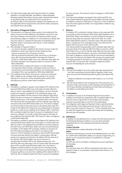4.4. The Client shall supply with each Payment Order its Creditor Identifier, its Unique Identifier, the Debtor's Unique Identifier, Mandate related information and any other required information as specified by ING, and shall submit such Instruction in accordance with (i) the parameters agreed in the Agreement, (ii) the applicable format requirements and (iii) the other procedures and requirements set by ING.

# **5. Execution of Payment Orders**

- 5.1. The execution of a Payment Order results in the crediting of the Client's Account and the debiting of the Debtor's account on the Due Date. However, the execution of a Payment Order may be prevented by a Reject or a Refusal. For the avoidance of doubt, ING may also refuse or suspend the execution or forwarding of a Payment Order in accordance with Clause 7 of the Schedule Paument Services.
- 5.2. ING will Reject a Payment Order if:
	- no amount has been credited to the Client's Account under the Mandate to which such Payment Order relates during a continuous period of 36 consecutive months;
	- ING has received the Paument Order more than (i) 5 Business Days after the Due Date specified in the Payment Order if it concerns a SEPA Direct Debit Core or (ii) 2 Business Days after the Due Date specified in the Payment Order if it concerns a SEPA Direct Debit B2B;
	- the Client fails to comply with Clause 4.3 of this Schedule;
	- the Payment Order has been submitted to ING more than 6 months prior to the Due Date specified in such Payment Order; or - the Debtor PSP is not reachable for SEPA Direct Debit B2B.
- 5.3. The crediting of the Client's Account as a result of an executed SDD is subject to the condition that the period of 14 months referred to in Clause 6.1 of this Schedule expires without ING refunding any amount under these Conditions.

# **6. Refunds**

- 6.1. The Debtor is entitled to request via the Debtor PSP a Refund of an executed SEPA Direct Debit Core at the latest 8 weeks after the date on which it was debited from the Debtor's account. ING will accept such request, irrespective of its underlying reason, and refund to the Debtor PSP the amount of the relevant SEPA Direct Debit Core plus an amount to compensate the Debtor PSP for the related interest loss, if the request is received within such period. This refund by ING may take place until 62 calendar days after the execution date of the SEPA Direct Debit Core. The Client is obliged to reimburse ING for the total amount refunded by ING under this Clause to the Debtor PSP and pay for any interest paid or foregone by ING as a result of the crediting of the relevant SDD. To that end, ING is entitled to debit the Client's Account immediately for such amounts, whether or not with a Value Date equal to the date of the crediting of the relevant SDD. This Clause 6.1 does not apply to a SEPA Direct Debit B2B.
- 6.2. The Debtor is entitled to request via the Debtor PSP a Refund of an executed SEPA Direct Debit Core at the latest 13 months after the date on which it was debited from the Debtor's account, based on the claim that such SEPA Direct Debit Core was not authorised by the Debtor. If the Debtor PSP concludes, whether on the basis of the information provided by the Client in accordance with Clause 4.2 of this Schedule or otherwise, that the SEPA Direct Debit Core was executed without the Debtor's authorisation, ING will accept such request and refund to the Debtor PSP the amount of the relevant SEPA Direct Debit Core plus an amount to compensate the Debtor PSP for the related interest loss. This refund by ING may take place until 14 months after the execution date of the unauthorised SEPA Direct Debit Core. The Client is obliged to reimburse ING for the total amount refunded by ING under this Clause to the Debtor PSP and pay any interest paid or foregone by ING as a result of the crediting of the relevant SDD. To that end, ING is entitled to debit the Client's Account immediately

for such amounts. This clause 6.2 does not apply to a SEPA Direct Debit B2B.

6.3. The Client acknowledges and agrees that under the SEPA Core Direct Debit Rulebook any decision by the Debtor PSP with respect to a Debtor's request as referred to in Clause 6.2 of this Schedule is final. The Client agrees that ING is not responsible or liable for any such decision.

# **7. Returns**

The Debtor PSP is entitled to initiate a Return of an executed SDD in accordance with the relevant SEPA Direct Debit Rulebook. For a SEPA Direct Debit Core the Return may be initiated at the latest 5 Business Days after the execution date of the SDD. For a SEPA Direct Debit B2B this period is 3 Business Days. ING will accept such Return, irrespective of its underlying reason, and refund to the Debtor PSP the amount of the relevant SDD.

This refund by ING may take place until 9 calendar days after the execution date of the relevant SDD if the Return concerns a SEPA Direct Debit Core, or until 6 calendar days after the execution date of the relevant SDD if the Return concerns a SEPA Direct Debit B2B. The Client is obliged to reimburse ING for the amount refunded by ING under this Clause to the Debtor PSP and pay any interest paid or foregone by ING to the Client as a result of the crediting of the relevant SDD. To that end, ING is entitled to debit the Client's Account immediately for such amounts.

# **8. Liability**

8.1. ING will not be liable for any loss and/or damage resulting from: - the Client submitting the same (Batch) Payment Order more than once and the forwarding thereof by ING to the Debtor PSP; or

- a Reject or Refusal in accordance with Clause 5.1 or 5.2 of this Schedule.

8.2. ING will not be liable for the consequences of the execution of a Payment Order and any loss and/or damage arising therefrom, if the Unique Identifier provided by the Client does not belong to the Debtor as intended by the Client.

# **9. Termination**

- 9.1. In addition to Clause 32 of Schedule Payment Services ING is entitled to terminate the Agreement with immediate effect if the relevant Account Agreement is terminated, without being required to pay damages or any form of compensation.
- 9.2. The obligations with regard to Payment Orders submitted before the termination of the Agreement will remain in full force and effect. Any claim based on Clause 6 or 7 of this Schedule that may rise after this Agreement has been terminated will immediately become due and payable.

# **10. Definitions**

In addition to the defined terms in Clause 29 of the General Part of the Wholesale Banking Conditions or in any other Schedule capitalised terms in this Schedule shall have the following meaning:

#### **Creditor Identifier**

The identification number allocated to the Client. **Debtor** 

The person authorising its account to be debited based on an SDD. For a SEPA Direct Debit B2B a Debtor can only be a legal entity or a person (a non-consumer) acting in its profession or business. **Debtor PSP** 

The PSP with which the Debtor is holding the account specified in the Mandate.

#### **Due Date**

The execution date of an SDD as requested by the Client in the Payment Order or as amended in accordance with Clause 4.2 of this Schedule.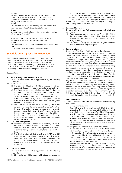#### **Mandate**

The authorisation given by the Debtor to the Client and (directly or indirectly via the Client) to the Debtor PSP to initiate an SDD for debiting the Debtor's account and to allow the Debtor PSP to comply with such instructions.

# **Refund**

A refund of an SDD at the Debtor's request in accordance with Clause 6 of Schedule SEPA Direct Debit Collections.

#### **Refusal**

A refusal of an SDD by the Debtor before its execution, resulting in a Reject by the Debtor PSP.

#### **Reject**

A rejection of an SDD by ING, the clearing and settlement mechanism or the Debtor PSP before its execution. **Return** 

A return of an SDD after its execution at the Debtor PSPs initiative. **SDD** 

A SEPA Direct Debit Core and/or SEPA Direct Debit B2B.

# **Schedule Country Specifics Luxembourg**

This Schedule is part of the Wholesale Banking Conditions. The conditions in the Wholesale Banking Conditions and the following additional provisions shall apply to Services provided by ING Luxembourg SA in/from Luxembourg. Any reference to ING or ING Office in this Schedule shall be construed as a reference to ING Luxembourg SA, unless the context requires otherwise.

#### **General Part**

# **1. General obligations and undertakings**

Clause 3 of the General Part is supplemented by the following paragraphs:

# 1.1. **Client Tax compliance**

- (i) The Client is obliged to ask ING proactively for all the documents it requires in order to fulfil all its tax obligations.
- (ii) The Client represents that it is informed that if it does not comply with clause 3.4 of the General Part and/or is not tax compliant, ING may rightfully suspend any operation or Service concerned and even sell, if applicable, all securities or other assets concerned by these tax obligations, with no other notice or prior notice and without the Client being able to claim any compensation.
- (iii) The Client undertakes vis-à-vis ING to comply with its tax obligations towards the authorities in the country/countries in which it is obliged to pay tax relating to the assets deposited and/or held with ING and/or managed by the latter. In the event that the Client is not the ultimate beneficial owner of these assets, it undertakes to inform the latter of this obligation and will ensure that this person respects the same undertaking.

#### 1.2. **FATCA and CRS regulation**

- (i) The Client undertakes to inform ING immediately if it is a US taxpayer in accordance with US regulations and more generally which status it has according to the US regulation relating to "Foreign Account Tax Compliance Act" (FATCA) in force.
- (ii) The Client is informed that according to FATCA and CRS regulation and international agreements signed or to be signed with Luxembourg, ING could be held to report some information regarding the Client and the assets held and/or the income it has received from ING to the competent tax authorities.

#### **2. Fees and expenses**

Clause 9 of the General Part is supplemented by the following paragraph:

The Client authorises ING to proceed with all payments required

by Luxembourg or foreign authorities by way of attachment (including third-party summons from the tax and/or social authorities) or any other document producing similar legal effects and to debit its Account(s) as a consequence up to the Available Balance, even if the Client's Account(s) are subject to a pledge or similar surety in favour of a third party.

#### **3. Evidence of Instructions**

Clause 10 of the General Part is supplemented by the following paragraphs :

- (i) If necessary and by way or derogation from article 1341 of the Luxembourg civil code, ING shall be allowed to provide evidence of Instructions by any legal means, notably by giving testimony.
- (ii) ING is entitled to carry out electronic archiving and cannot be blamed for not retaining the originals.

#### **4. Power of attorney**

Clause 11.4 of the General Part is replaced by the following:

Each power of attorney shall be considered as valid until they are revoked by written notification to ING or any other procedure agreed with ING. Until ING receives such notification any power of attorney shall, irrespective of any registration with any public record of the details and/or any changes to it, remain in full force and effect. However, ING shall only be held liable after the end of the fifth Business Day following receipt of the power of attorney, the revocation document or an amendment of a power of attorney regarding any User. Such revocation or amendment does not have any consequences for nor shall affect (the validity of) any (i) Instruction with a scheduled execution date after the revocation or amendment, or (ii) power of attorney granted by a User prior to such revocation or amendment.

Any power of attorney shall cease to have effect with regard to ING, following the occurrence of one of the causes stipulated in article 2003 of the Luxembourg civil code or any similar circumstances for a legal entity (including, without limitation, death, unless agreed otherwise, interdiction, entry into liquidation, dissolution, bankruptcy of the Accountholder or the User), on the fifth Business Day after ING shall have been informed thereof, although it shall not be required to gather such information itself.

# **5. Communication**

- 5.1. Clause 12 of the General Part is supplemented by the following paragraphs:
	- (i) Correspondence by email

By providing (any of) its email address(es) to ING, the Client agrees that ING may communicate with the Client, via email which shall include the exchange of confidential information<br>accordina to this paragraph and paragraph (ii) below paragraph and paragraph (ii) below including personal data and/or information relating to its Accounts, other assets held with ING and/or or transaction reporting. If the Client has joint Account(s) it also authorises ING to disclose such information via e-mail to the joint Accountholder.

(ii) Acceptance of communication by electronic means

If agreed by ING, the Client may send Instructions via fax, telephone, telex or as an attachment to email. The Client shall indemnify ING in full against any loss, damages, cost or expense incurred by ING and arising from the execution of such Instructions or the use of such means of communication. The transmission of Instructions by simple email is however expressly prohibited.

However, ING reserves the right, without being under any obligation, to agree to execute such Instructions in exceptional cases, with the Client being fully aware of the risks, in particular those set out in this Clause 5.1.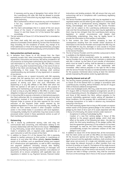If necessary and by way of derogation from article 1341 of the Luxembourg civil code, ING shall be allowed to provide evidence of such Instructions by any legal means, notably by giving testimony.

ING is authorised to refuse to execute any such Instructions if it has any suspicion of any unauthorised or fraudulent Instruction

- (iii) The Client acknowledges that it is aware of the non secure nature of the means of communication specified in this Clause 5.1 and that Clause 12.2 of the General Part applies accordingly.
- 5.2. The last sentence of Clause 12.3 of the General Part is amended so that it reads:

The Client shall notify ING and any joint Accountholder(s) in advance of amended contact details by not less than five Business Days (including, for the avoidance of doubt, any change of its email address(es) or those of its legal representative(s), proxu(ies) holder(s) and service provider(s) previously communicated to ING).

# **6. Data protection and bank secrecy**

- 6.1. In deviation from Clause 14 of the General Part, the Client expressly accepts that, when transmitting information regarding Agreements, Instructions and Services, ING will be considered in all circumstances as having been authorized by the Client to transmit said information to, as the case may be, ING, ING Offices, a third party PSP or any other involved third party, in the name of and on behalf of the Client and discharges ING from its duty of banking confidentiality in that scope. This discharge shall continue notwithstanding any termination of any Agreement or cessation of any Service.
- 6.2. A Client opening one or several Account(s) with ING expressly accepts that the opening form and the information contained herein (i) will be transferred to a central storage unit for the purpose of storing such form and such information and dispatching it to any ING affiliate or ING Office with which the Client has opened or will open an account for the purpose of opening and maintaining such Account; and (ii) will be stored for at least so long as any ING affiliate or ING Office is under a legal obligation to keep such opening form and/or such information.
- 6.3. In instructing ING to execute a domestic or international payment, the Client authorises ING, its correspondent banks and any other organisation involved in the transmission or execution of the Payment Order to process all the data required for the correct execution of the Payment Order and/or required by the legislation/regulations in force. Such processing may, notably, be carried out from centres located in other European countries and/or in the United States in accordance with local legislation. Consequently notably the US authorities may have access to data processed and/or stored in these operational centres as part of their monitoring of terrorist activities.

# **7. Outsourcing**

- 7.1. ING is bound by professional secrecy rules and may not communicate data concerning, and information relating to the business relationships with the Client (in this Clause 7 **Information**) to any third-party, except when disclosure of the Information is made in compliance with, or required under, applicable law, or upon instruction or with the consent of the Client.
- 7.2. In addition to Clause 23.1 of the General Part, ING is expressly allowed to (partly) outsource to third parties in Luxembourg or abroad or to any other ING Offices globally (**Service Providers**), certain of its activities, such as operational activity and (support of) IT infrastructure and applications, as well as ING's messaging and payment platforms (including manual data feeding, processing, monitoring and storage/archiving of messages and payments), the filtering and screening, retention and collection of documents all to ensure compliance with applicable laws and regulations in relation to e.g. Payment Services, financial market

Instructions and lending products. ING will ensure that any such outsourcings will be in compliance with Luxembourg regulatory requirements.

- 7.3. The Service Providers appointed by ING may be regulated or nonregulated entities and are either by law subject to or contractually bound by ING to a (professional) secrecy obligation. The Client hereby acknowledges and accepts that the Service Providers might not be subject to the Luxembourg professional secrecy rules and that the professional secrecy that may be applicable to them may be less stringent than the Luxembourg bank secrecy legislation. In certain circumstances and despite their confidentiality undertakings, they may be legally bound to provide the Information to third-parties or authorities.
- 7.4. In that context, the Client confirms accepting to bear all consequences resulting from the transfer and/or disclosure of Information to the Service Providers and accepts that ING may not be held liable for any loss, damages or costs caused or incurred directly or indirectly from the transfer or disclosure of Information to the Service Providers.
- 7.5. The list of Service Providers and the activities outsourced to them is available on the Website www.ing.lu.
- 7.6. The Information will be transferred and/or be available to the Service Providers for as long as the Client maintains a relationship with ING. A refusal by the Client of such transfer of Information, which must be made in writing, shall be deemed to constitute a termination notice with respect to the relationship with immediate effect without prejudice to the right for ING to keep with the Service Provider the data so transferred before revocation for the purposes mentioned above during at least the retention periods imposed by ING policies and/or by applicable laws.

# **8. Security Interest and set-off**

8.1. The Security Interest granted by the Client towards ING pursuant to Clause 19 of the General Part is a pledge in accordance with Luxembourg law, including, without limitation, the law of 5 August 2005 on financial collateral arrangements.

In the case of pledged assets, ING may, under the terms of the law of 5 August 2005 on financial collateral arrangements set-off, to the corresponding amount, the obligations of the Client towards it and those of ING towards the Client, without prejudice to the account indivisibility agreement and/or setting off stipulated in these Conditions. For this purpose, ING is authorised to carry out exchange transactions or to settle in advance any transactions maturing in the future.

The Client expressly agrees that as long as ING accepts an express written waiver of the present general pledge in the context of the pledge by the Client of all or part of its assets deposited with ING in favour of a third party, this waiver remains under reserve of :

- Acceptance in writing of said pledge by ING;
- Creation of a new first ranking pledge in favour of ING, identical to the present general pledge, which shall take effect at the earlier of the following two dates : the date on which the third party beneficiary of the pledge notifies ING that the agreement governing it (i) has ended or (ii) has been discharged. As need be, the Client hereby irrevocably and unconditionally accepts the automatic creation of this new pledge in such a case.
- 8.2. In addition to clause 19.5 of the General Part, all the transactions that the Client carries out with an ING Office are interconnected. All the Accounts opened and held by the Client regardless the type of account and the applicable conditions, shall constitute in a legal sense sub-accounts of a single and indivisible account. ING may merge the relevant Accounts or effect transfers from one Account to another as it sees fit. The balance of the sinale Account is secured by all the collateral pledged as security and personal guarantees linked to any of the various sub-accounts. If some subaccounts are held in foreign currencies, they shall be converted into Euro at the exchange rate in force on the account settlement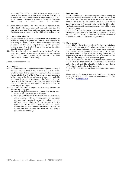or transfer date. Furthermore ING, in the case where an asset expressed in a currency other than that in which the debit balance of another Account is denominated no longer offers a sufficient margin, reserves the right of immediate conversion. ING alone<br>shall indige if such cover is sufficient shall judge if such cover is sufficient.

8.3. Unless otherwise agreed, the Client waives the right to invoke Article 1253 of the Luxembourg civil code and agrees that ING may, at its own discretion, apply any sums received from the Client to the debt or proportion of the debt it is intended to reduce.

#### 9. **Term and termination**

- 9.1. The last sentence of Clause 26.1 of the General Part is amended as follows: ING may at any time and without notice terminate its relationship and/or any Accounts without being required to justify its reasons to the Client, subject to the specific provisions governing credit. The Client shall be notified thereof in writing (postal or electronic) by ING.
- 9.2. Where the Client gives no instruction as to the transfer of the assets held following termination of the relationship, ING reserves the right to transfer its assets to the *Caisse de Consignation*  (Official Deposit holder) in Luxembourg.

### **Schedule Payment Services**

# **10. Cheques**

- 10.1.In addition to Clause 23.3(v) of the Schedule Payment Services, if the Client stops a Cheque, ING reserves the right to decide whether or not it shall take account of such instruction and, in the first case, to block, on the Client's Account, an amount equivalent to the amount of the Cheque until receipt of either of an amicable agreement signed by the Beneficiary of the Cheque and by the Client, or until the case has been settled by a judgement having force of *res judicata* on the rights of the Cient and/or the Beneficiary of the Cheque.
- 10.2.Clause 23 of the Schedule Payment Services is supplemented by the following paragraphs:
	- (i) Cheques payable to the Client may be credited directly upon receipt to the Account subject to clearance.
	- (ii) ING is entitled to terminate the Client's right to use Cheques with immediate effect without being required to justify such decision. In such case, the Client must immediately return to ING any unused Cheques. If this coincides with ING terminating the relationship with the Client, any Credit Balance shall be made available to the Client only after the unused blank Cheques have been returned and/or after a period of 60 calendar days.

# **11. Cash deposits**

- 11.1.In deviation of Clause 24.5 Schedule Paument Services, during the deposit process at a cash desposit machine in the premises of the ING Office, the Client will be asked to confirm the amount deposited as counted by the machine. Should the Client dispute the amount, only that amount confirmed to the Client when making the deposit at the cash deposit machine shall be binding between the parties.
- 11.2.Clause 24 of the Schedule Payment Services is supplemented by the following paragraph: The Book Date of a deposit made via a security company acting on behalf of ING will be the date of collection of the deposits by this security company.

# **12. Alerting service**

If agreed ING shall provide an email alert Service in case of of any activity on its Account and/or when the Balance reaches an agreed limit. These alerts are provided on an information basis only, the Client can only derive rights from account statements. This information is also provided without any commitment or responsibility on the part of ING on the basis of elements that the Client will have configured itself in the secure space.

If the Client's email address so designated for this Service is no longer active, the Client shall not be informed of the failure to deliver the email, and ING shall not be liable for the alert Service not functioning and any harm that may arise.

Both the Client and ING may terminate the alerting Service at any time.

Please refer to the General Terms & Conditions – Wholesale Banking of ING Group if you need more information about other Countries on www.ingwb.com.